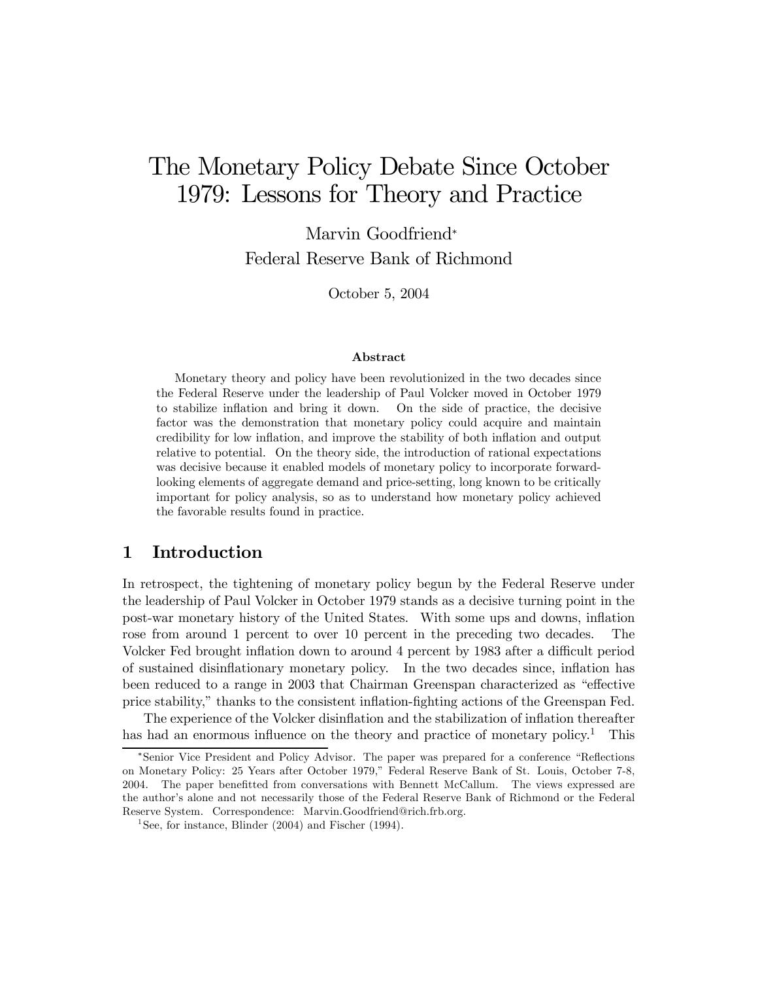# The Monetary Policy Debate Since October 1979: Lessons for Theory and Practice

Marvin Goodfriend<sup>∗</sup> Federal Reserve Bank of Richmond

October 5, 2004

#### Abstract

Monetary theory and policy have been revolutionized in the two decades since the Federal Reserve under the leadership of Paul Volcker moved in October 1979 to stabilize inflation and bring it down. On the side of practice, the decisive factor was the demonstration that monetary policy could acquire and maintain credibility for low inflation, and improve the stability of both inflation and output relative to potential. On the theory side, the introduction of rational expectations was decisive because it enabled models of monetary policy to incorporate forwardlooking elements of aggregate demand and price-setting, long known to be critically important for policy analysis, so as to understand how monetary policy achieved the favorable results found in practice.

# 1 Introduction

In retrospect, the tightening of monetary policy begun by the Federal Reserve under the leadership of Paul Volcker in October 1979 stands as a decisive turning point in the post-war monetary history of the United States. With some ups and downs, inflation rose from around 1 percent to over 10 percent in the preceding two decades. The Volcker Fed brought inflation down to around 4 percent by 1983 after a difficult period of sustained disinflationary monetary policy. In the two decades since, inflation has been reduced to a range in 2003 that Chairman Greenspan characterized as "effective price stability," thanks to the consistent inflation-fighting actions of the Greenspan Fed.

The experience of the Volcker disinflation and the stabilization of inflation thereafter has had an enormous influence on the theory and practice of monetary policy.<sup>1</sup> This

<sup>∗</sup>Senior Vice President and Policy Advisor. The paper was prepared for a conference "Reflections on Monetary Policy: 25 Years after October 1979," Federal Reserve Bank of St. Louis, October 7-8, 2004. The paper benefitted from conversations with Bennett McCallum. The views expressed are the author's alone and not necessarily those of the Federal Reserve Bank of Richmond or the Federal Reserve System. Correspondence: Marvin.Goodfriend@rich.frb.org.

<sup>&</sup>lt;sup>1</sup>See, for instance, Blinder  $(2004)$  and Fischer  $(1994)$ .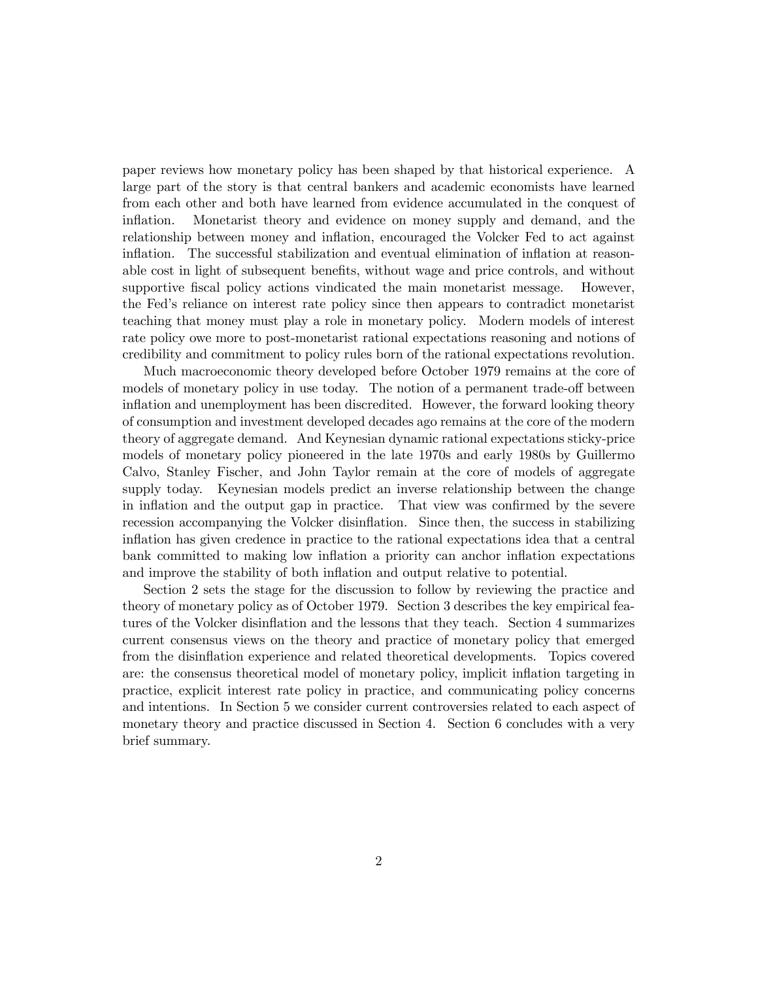paper reviews how monetary policy has been shaped by that historical experience. A large part of the story is that central bankers and academic economists have learned from each other and both have learned from evidence accumulated in the conquest of inflation. Monetarist theory and evidence on money supply and demand, and the relationship between money and inflation, encouraged the Volcker Fed to act against inflation. The successful stabilization and eventual elimination of inflation at reasonable cost in light of subsequent benefits, without wage and price controls, and without supportive fiscal policy actions vindicated the main monetarist message. However, the Fed's reliance on interest rate policy since then appears to contradict monetarist teaching that money must play a role in monetary policy. Modern models of interest rate policy owe more to post-monetarist rational expectations reasoning and notions of credibility and commitment to policy rules born of the rational expectations revolution.

Much macroeconomic theory developed before October 1979 remains at the core of models of monetary policy in use today. The notion of a permanent trade-off between inflation and unemployment has been discredited. However, the forward looking theory of consumption and investment developed decades ago remains at the core of the modern theory of aggregate demand. And Keynesian dynamic rational expectations sticky-price models of monetary policy pioneered in the late 1970s and early 1980s by Guillermo Calvo, Stanley Fischer, and John Taylor remain at the core of models of aggregate supply today. Keynesian models predict an inverse relationship between the change in inflation and the output gap in practice. That view was confirmed by the severe recession accompanying the Volcker disinflation. Since then, the success in stabilizing inflation has given credence in practice to the rational expectations idea that a central bank committed to making low inflation a priority can anchor inflation expectations and improve the stability of both inflation and output relative to potential.

Section 2 sets the stage for the discussion to follow by reviewing the practice and theory of monetary policy as of October 1979. Section 3 describes the key empirical features of the Volcker disinflation and the lessons that they teach. Section 4 summarizes current consensus views on the theory and practice of monetary policy that emerged from the disinflation experience and related theoretical developments. Topics covered are: the consensus theoretical model of monetary policy, implicit inflation targeting in practice, explicit interest rate policy in practice, and communicating policy concerns and intentions. In Section 5 we consider current controversies related to each aspect of monetary theory and practice discussed in Section 4. Section 6 concludes with a very brief summary.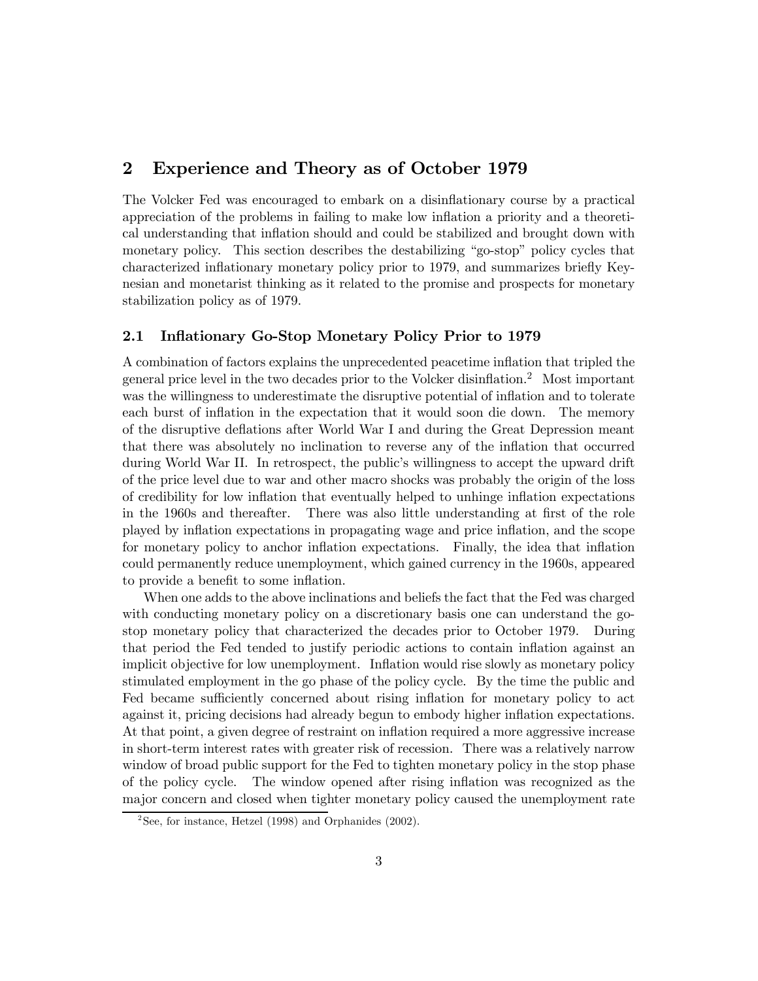# 2 Experience and Theory as of October 1979

The Volcker Fed was encouraged to embark on a disinflationary course by a practical appreciation of the problems in failing to make low inflation a priority and a theoretical understanding that inflation should and could be stabilized and brought down with monetary policy. This section describes the destabilizing "go-stop" policy cycles that characterized inflationary monetary policy prior to 1979, and summarizes briefly Keynesian and monetarist thinking as it related to the promise and prospects for monetary stabilization policy as of 1979.

## 2.1 Inflationary Go-Stop Monetary Policy Prior to 1979

A combination of factors explains the unprecedented peacetime inflation that tripled the general price level in the two decades prior to the Volcker disinflation.2 Most important was the willingness to underestimate the disruptive potential of inflation and to tolerate each burst of inflation in the expectation that it would soon die down. The memory of the disruptive deflations after World War I and during the Great Depression meant that there was absolutely no inclination to reverse any of the inflation that occurred during World War II. In retrospect, the public's willingness to accept the upward drift of the price level due to war and other macro shocks was probably the origin of the loss of credibility for low inflation that eventually helped to unhinge inflation expectations in the 1960s and thereafter. There was also little understanding at first of the role played by inflation expectations in propagating wage and price inflation, and the scope for monetary policy to anchor inflation expectations. Finally, the idea that inflation could permanently reduce unemployment, which gained currency in the 1960s, appeared to provide a benefit to some inflation.

When one adds to the above inclinations and beliefs the fact that the Fed was charged with conducting monetary policy on a discretionary basis one can understand the gostop monetary policy that characterized the decades prior to October 1979. During that period the Fed tended to justify periodic actions to contain inflation against an implicit objective for low unemployment. Inflation would rise slowly as monetary policy stimulated employment in the go phase of the policy cycle. By the time the public and Fed became sufficiently concerned about rising inflation for monetary policy to act against it, pricing decisions had already begun to embody higher inflation expectations. At that point, a given degree of restraint on inflation required a more aggressive increase in short-term interest rates with greater risk of recession. There was a relatively narrow window of broad public support for the Fed to tighten monetary policy in the stop phase of the policy cycle. The window opened after rising inflation was recognized as the major concern and closed when tighter monetary policy caused the unemployment rate

<sup>&</sup>lt;sup>2</sup>See, for instance, Hetzel (1998) and Orphanides (2002).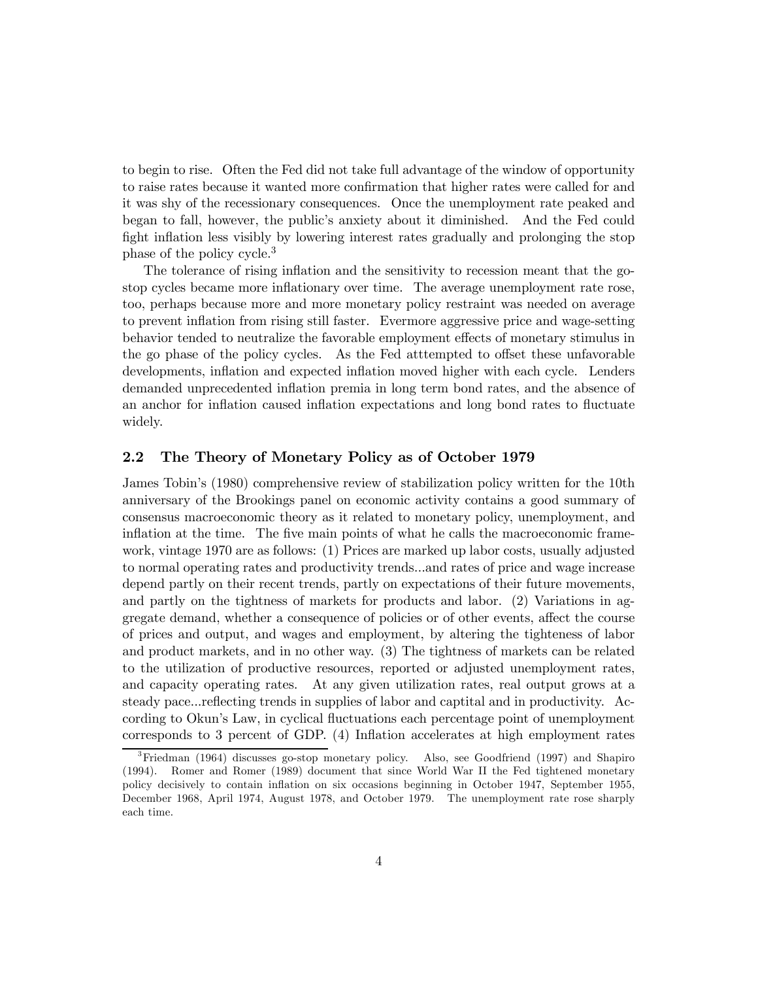to begin to rise. Often the Fed did not take full advantage of the window of opportunity to raise rates because it wanted more confirmation that higher rates were called for and it was shy of the recessionary consequences. Once the unemployment rate peaked and began to fall, however, the public's anxiety about it diminished. And the Fed could fight inflation less visibly by lowering interest rates gradually and prolonging the stop phase of the policy cycle.<sup>3</sup>

The tolerance of rising inflation and the sensitivity to recession meant that the gostop cycles became more inflationary over time. The average unemployment rate rose, too, perhaps because more and more monetary policy restraint was needed on average to prevent inflation from rising still faster. Evermore aggressive price and wage-setting behavior tended to neutralize the favorable employment effects of monetary stimulus in the go phase of the policy cycles. As the Fed atttempted to offset these unfavorable developments, inflation and expected inflation moved higher with each cycle. Lenders demanded unprecedented inflation premia in long term bond rates, and the absence of an anchor for inflation caused inflation expectations and long bond rates to fluctuate widely.

## 2.2 The Theory of Monetary Policy as of October 1979

James Tobin's (1980) comprehensive review of stabilization policy written for the 10th anniversary of the Brookings panel on economic activity contains a good summary of consensus macroeconomic theory as it related to monetary policy, unemployment, and inflation at the time. The five main points of what he calls the macroeconomic framework, vintage 1970 are as follows: (1) Prices are marked up labor costs, usually adjusted to normal operating rates and productivity trends...and rates of price and wage increase depend partly on their recent trends, partly on expectations of their future movements, and partly on the tightness of markets for products and labor. (2) Variations in aggregate demand, whether a consequence of policies or of other events, affect the course of prices and output, and wages and employment, by altering the tighteness of labor and product markets, and in no other way. (3) The tightness of markets can be related to the utilization of productive resources, reported or adjusted unemployment rates, and capacity operating rates. At any given utilization rates, real output grows at a steady pace...reflecting trends in supplies of labor and captital and in productivity. According to Okun's Law, in cyclical fluctuations each percentage point of unemployment corresponds to 3 percent of GDP. (4) Inflation accelerates at high employment rates

<sup>3</sup>Friedman (1964) discusses go-stop monetary policy. Also, see Goodfriend (1997) and Shapiro (1994). Romer and Romer (1989) document that since World War II the Fed tightened monetary policy decisively to contain inflation on six occasions beginning in October 1947, September 1955, December 1968, April 1974, August 1978, and October 1979. The unemployment rate rose sharply each time.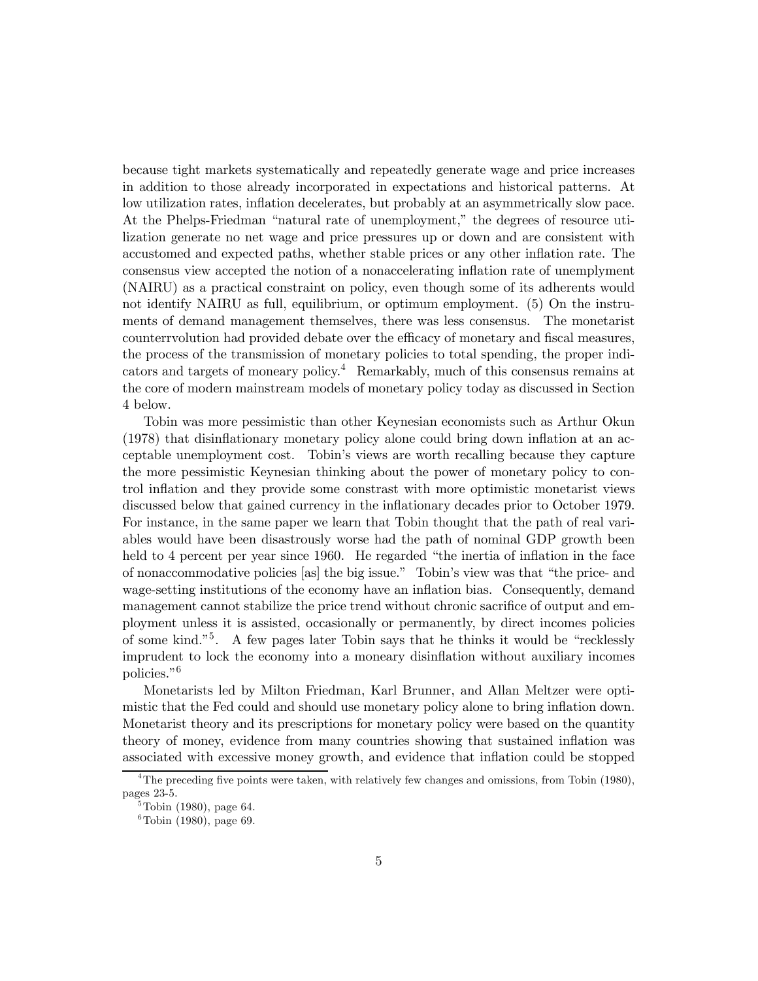because tight markets systematically and repeatedly generate wage and price increases in addition to those already incorporated in expectations and historical patterns. At low utilization rates, inflation decelerates, but probably at an asymmetrically slow pace. At the Phelps-Friedman "natural rate of unemployment," the degrees of resource utilization generate no net wage and price pressures up or down and are consistent with accustomed and expected paths, whether stable prices or any other inflation rate. The consensus view accepted the notion of a nonaccelerating inflation rate of unemplyment (NAIRU) as a practical constraint on policy, even though some of its adherents would not identify NAIRU as full, equilibrium, or optimum employment. (5) On the instruments of demand management themselves, there was less consensus. The monetarist counterrvolution had provided debate over the efficacy of monetary and fiscal measures, the process of the transmission of monetary policies to total spending, the proper indicators and targets of moneary policy.4 Remarkably, much of this consensus remains at the core of modern mainstream models of monetary policy today as discussed in Section 4 below.

Tobin was more pessimistic than other Keynesian economists such as Arthur Okun (1978) that disinflationary monetary policy alone could bring down inflation at an acceptable unemployment cost. Tobin's views are worth recalling because they capture the more pessimistic Keynesian thinking about the power of monetary policy to control inflation and they provide some constrast with more optimistic monetarist views discussed below that gained currency in the inflationary decades prior to October 1979. For instance, in the same paper we learn that Tobin thought that the path of real variables would have been disastrously worse had the path of nominal GDP growth been held to 4 percent per year since 1960. He regarded "the inertia of inflation in the face of nonaccommodative policies [as] the big issue." Tobin's view was that "the price- and wage-setting institutions of the economy have an inflation bias. Consequently, demand management cannot stabilize the price trend without chronic sacrifice of output and employment unless it is assisted, occasionally or permanently, by direct incomes policies of some kind."5. A few pages later Tobin says that he thinks it would be "recklessly imprudent to lock the economy into a moneary disinflation without auxiliary incomes policies."6

Monetarists led by Milton Friedman, Karl Brunner, and Allan Meltzer were optimistic that the Fed could and should use monetary policy alone to bring inflation down. Monetarist theory and its prescriptions for monetary policy were based on the quantity theory of money, evidence from many countries showing that sustained inflation was associated with excessive money growth, and evidence that inflation could be stopped

<sup>&</sup>lt;sup>4</sup>The preceding five points were taken, with relatively few changes and omissions, from Tobin (1980), pages 23-5.

 $5$ Tobin (1980), page 64.

 ${}^{6}$ Tobin (1980), page 69.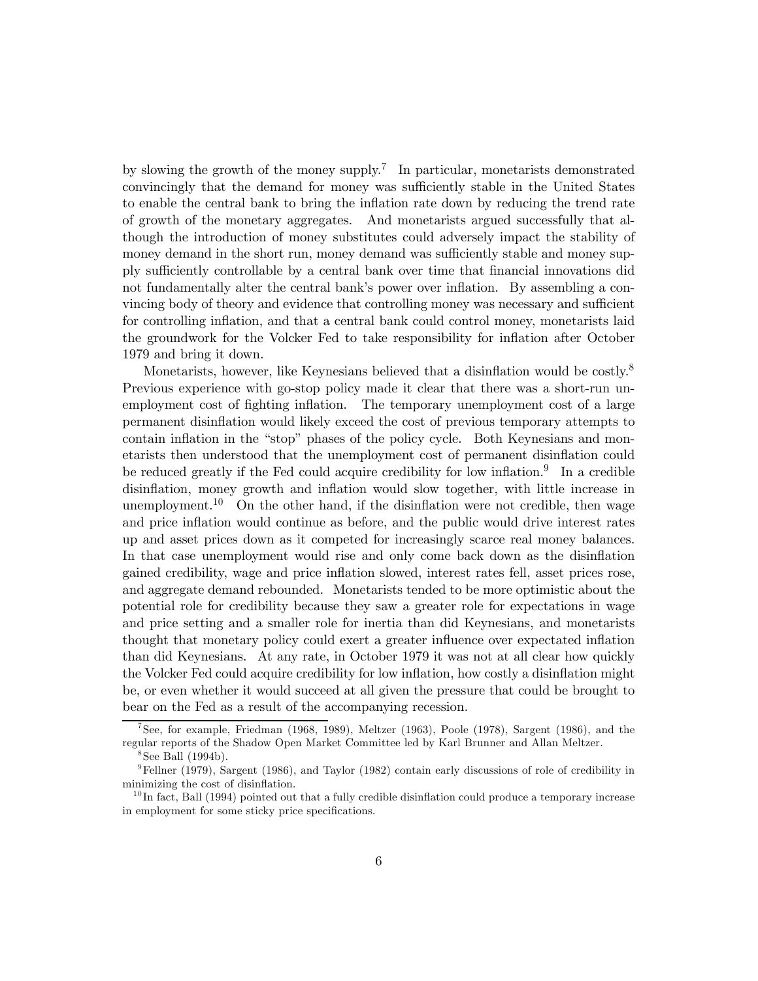by slowing the growth of the money supply.<sup>7</sup> In particular, monetarists demonstrated convincingly that the demand for money was sufficiently stable in the United States to enable the central bank to bring the inflation rate down by reducing the trend rate of growth of the monetary aggregates. And monetarists argued successfully that although the introduction of money substitutes could adversely impact the stability of money demand in the short run, money demand was sufficiently stable and money supply sufficiently controllable by a central bank over time that financial innovations did not fundamentally alter the central bank's power over inflation. By assembling a convincing body of theory and evidence that controlling money was necessary and sufficient for controlling inflation, and that a central bank could control money, monetarists laid the groundwork for the Volcker Fed to take responsibility for inflation after October 1979 and bring it down.

Monetarists, however, like Keynesians believed that a disinflation would be costly.<sup>8</sup> Previous experience with go-stop policy made it clear that there was a short-run unemployment cost of fighting inflation. The temporary unemployment cost of a large permanent disinflation would likely exceed the cost of previous temporary attempts to contain inflation in the "stop" phases of the policy cycle. Both Keynesians and monetarists then understood that the unemployment cost of permanent disinflation could be reduced greatly if the Fed could acquire credibility for low inflation.<sup>9</sup> In a credible disinflation, money growth and inflation would slow together, with little increase in unemployment.<sup>10</sup> On the other hand, if the disinflation were not credible, then wage and price inflation would continue as before, and the public would drive interest rates up and asset prices down as it competed for increasingly scarce real money balances. In that case unemployment would rise and only come back down as the disinflation gained credibility, wage and price inflation slowed, interest rates fell, asset prices rose, and aggregate demand rebounded. Monetarists tended to be more optimistic about the potential role for credibility because they saw a greater role for expectations in wage and price setting and a smaller role for inertia than did Keynesians, and monetarists thought that monetary policy could exert a greater influence over expectated inflation than did Keynesians. At any rate, in October 1979 it was not at all clear how quickly the Volcker Fed could acquire credibility for low inflation, how costly a disinflation might be, or even whether it would succeed at all given the pressure that could be brought to bear on the Fed as a result of the accompanying recession.

<sup>&</sup>lt;sup>7</sup>See, for example, Friedman (1968, 1989), Meltzer (1963), Poole (1978), Sargent (1986), and the regular reports of the Shadow Open Market Committee led by Karl Brunner and Allan Meltzer.

 $8$ See Ball (1994b).

<sup>&</sup>lt;sup>9</sup>Fellner (1979), Sargent (1986), and Taylor (1982) contain early discussions of role of credibility in minimizing the cost of disinflation.

 $10$  In fact, Ball (1994) pointed out that a fully credible disinflation could produce a temporary increase in employment for some sticky price specifications.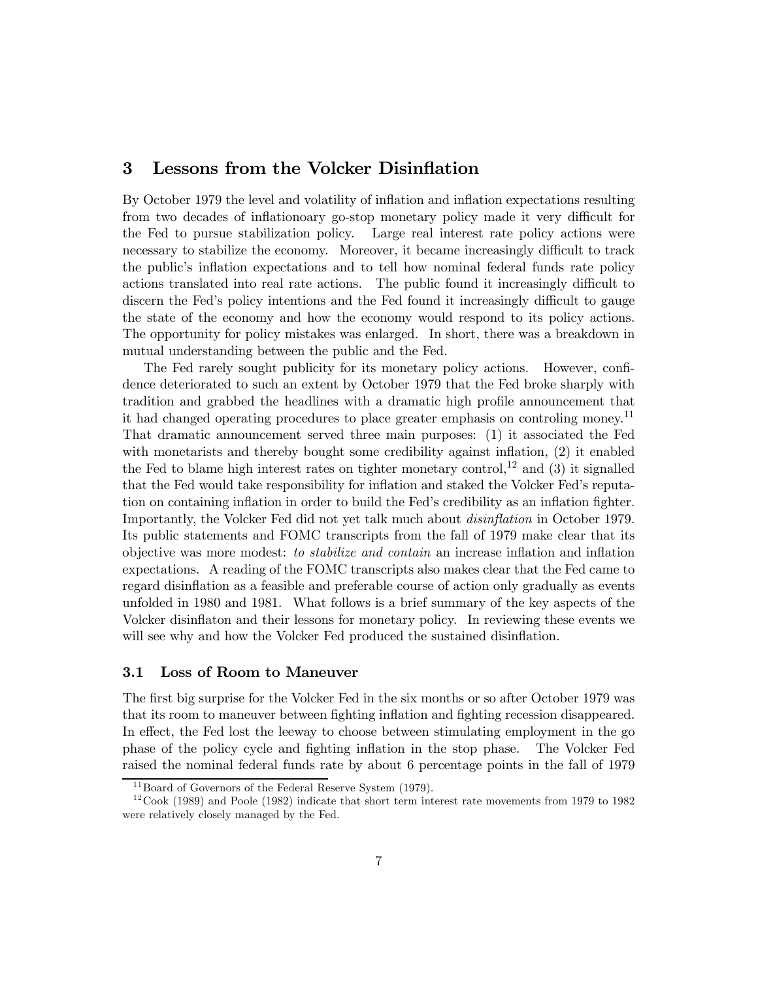# 3 Lessons from the Volcker Disinflation

By October 1979 the level and volatility of inflation and inflation expectations resulting from two decades of inflationoary go-stop monetary policy made it very difficult for the Fed to pursue stabilization policy. Large real interest rate policy actions were necessary to stabilize the economy. Moreover, it became increasingly difficult to track the public's inflation expectations and to tell how nominal federal funds rate policy actions translated into real rate actions. The public found it increasingly difficult to discern the Fed's policy intentions and the Fed found it increasingly difficult to gauge the state of the economy and how the economy would respond to its policy actions. The opportunity for policy mistakes was enlarged. In short, there was a breakdown in mutual understanding between the public and the Fed.

The Fed rarely sought publicity for its monetary policy actions. However, confidence deteriorated to such an extent by October 1979 that the Fed broke sharply with tradition and grabbed the headlines with a dramatic high profile announcement that it had changed operating procedures to place greater emphasis on controling money.11 That dramatic announcement served three main purposes: (1) it associated the Fed with monetarists and thereby bought some credibility against inflation, (2) it enabled the Fed to blame high interest rates on tighter monetary control,<sup>12</sup> and (3) it signalled that the Fed would take responsibility for inflation and staked the Volcker Fed's reputation on containing inflation in order to build the Fed's credibility as an inflation fighter. Importantly, the Volcker Fed did not yet talk much about disinflation in October 1979. Its public statements and FOMC transcripts from the fall of 1979 make clear that its objective was more modest: to stabilize and contain an increase inflation and inflation expectations. A reading of the FOMC transcripts also makes clear that the Fed came to regard disinflation as a feasible and preferable course of action only gradually as events unfolded in 1980 and 1981. What follows is a brief summary of the key aspects of the Volcker disinflaton and their lessons for monetary policy. In reviewing these events we will see why and how the Volcker Fed produced the sustained disinflation.

#### 3.1 Loss of Room to Maneuver

The first big surprise for the Volcker Fed in the six months or so after October 1979 was that its room to maneuver between fighting inflation and fighting recession disappeared. In effect, the Fed lost the leeway to choose between stimulating employment in the go phase of the policy cycle and fighting inflation in the stop phase. The Volcker Fed raised the nominal federal funds rate by about 6 percentage points in the fall of 1979

 $11$ Board of Governors of the Federal Reserve System (1979).

 $12 \text{Cook } (1989)$  and Poole (1982) indicate that short term interest rate movements from 1979 to 1982 were relatively closely managed by the Fed.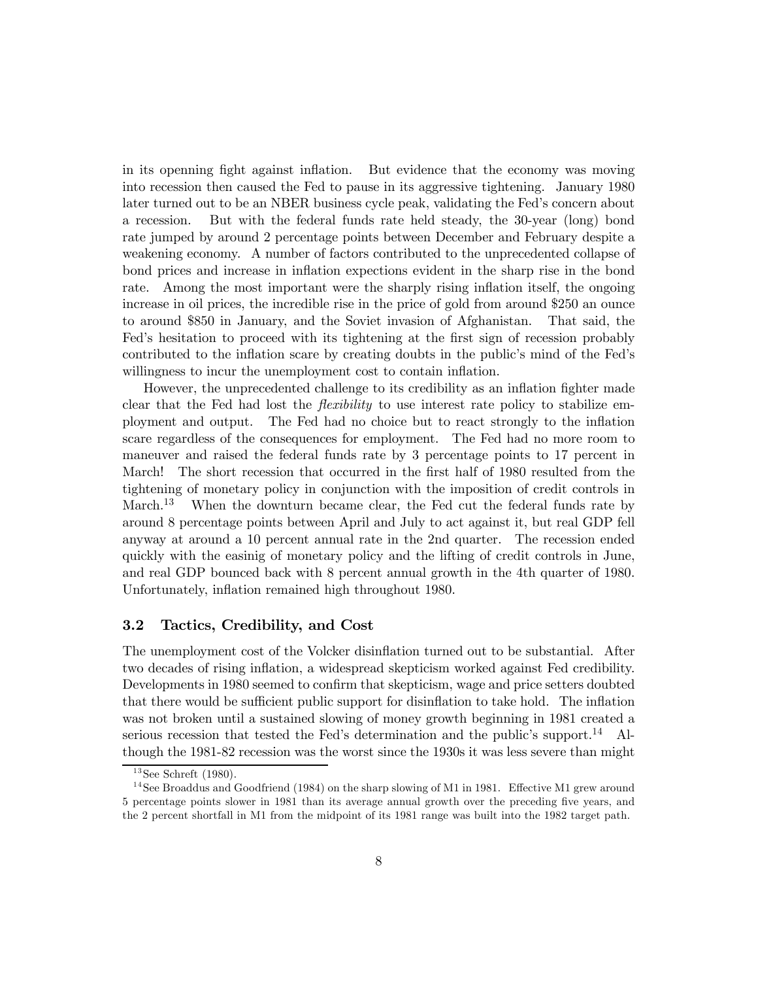in its openning fight against inflation. But evidence that the economy was moving into recession then caused the Fed to pause in its aggressive tightening. January 1980 later turned out to be an NBER business cycle peak, validating the Fed's concern about a recession. But with the federal funds rate held steady, the 30-year (long) bond rate jumped by around 2 percentage points between December and February despite a weakening economy. A number of factors contributed to the unprecedented collapse of bond prices and increase in inflation expections evident in the sharp rise in the bond rate. Among the most important were the sharply rising inflation itself, the ongoing increase in oil prices, the incredible rise in the price of gold from around \$250 an ounce to around \$850 in January, and the Soviet invasion of Afghanistan. That said, the Fed's hesitation to proceed with its tightening at the first sign of recession probably contributed to the inflation scare by creating doubts in the public's mind of the Fed's willingness to incur the unemployment cost to contain inflation.

However, the unprecedented challenge to its credibility as an inflation fighter made clear that the Fed had lost the *flexibility* to use interest rate policy to stabilize employment and output. The Fed had no choice but to react strongly to the inflation scare regardless of the consequences for employment. The Fed had no more room to maneuver and raised the federal funds rate by 3 percentage points to 17 percent in March! The short recession that occurred in the first half of 1980 resulted from the tightening of monetary policy in conjunction with the imposition of credit controls in March.<sup>13</sup> When the downturn became clear, the Fed cut the federal funds rate by around 8 percentage points between April and July to act against it, but real GDP fell anyway at around a 10 percent annual rate in the 2nd quarter. The recession ended quickly with the easinig of monetary policy and the lifting of credit controls in June, and real GDP bounced back with 8 percent annual growth in the 4th quarter of 1980. Unfortunately, inflation remained high throughout 1980.

#### 3.2 Tactics, Credibility, and Cost

The unemployment cost of the Volcker disinflation turned out to be substantial. After two decades of rising inflation, a widespread skepticism worked against Fed credibility. Developments in 1980 seemed to confirm that skepticism, wage and price setters doubted that there would be sufficient public support for disinflation to take hold. The inflation was not broken until a sustained slowing of money growth beginning in 1981 created a serious recession that tested the Fed's determination and the public's support.<sup>14</sup> Although the 1981-82 recession was the worst since the 1930s it was less severe than might

 $13$  See Schreft (1980).

<sup>&</sup>lt;sup>14</sup> See Broaddus and Goodfriend (1984) on the sharp slowing of M1 in 1981. Effective M1 grew around 5 percentage points slower in 1981 than its average annual growth over the preceding five years, and the 2 percent shortfall in M1 from the midpoint of its 1981 range was built into the 1982 target path.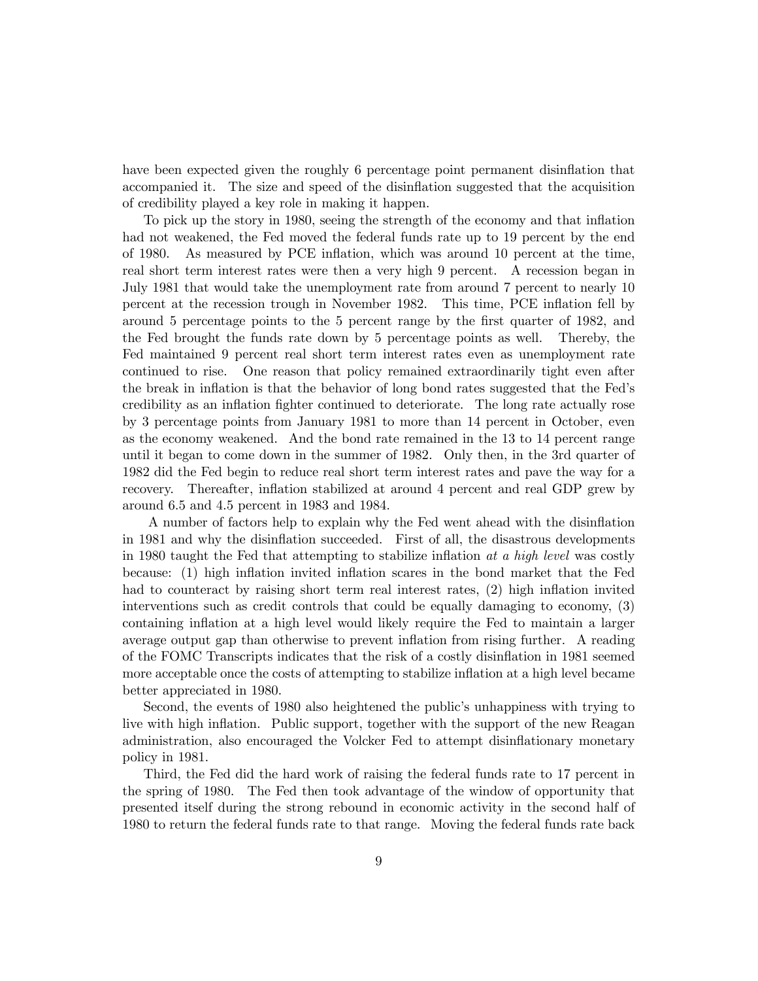have been expected given the roughly 6 percentage point permanent disinflation that accompanied it. The size and speed of the disinflation suggested that the acquisition of credibility played a key role in making it happen.

To pick up the story in 1980, seeing the strength of the economy and that inflation had not weakened, the Fed moved the federal funds rate up to 19 percent by the end of 1980. As measured by PCE inflation, which was around 10 percent at the time, real short term interest rates were then a very high 9 percent. A recession began in July 1981 that would take the unemployment rate from around 7 percent to nearly 10 percent at the recession trough in November 1982. This time, PCE inflation fell by around 5 percentage points to the 5 percent range by the first quarter of 1982, and the Fed brought the funds rate down by 5 percentage points as well. Thereby, the Fed maintained 9 percent real short term interest rates even as unemployment rate continued to rise. One reason that policy remained extraordinarily tight even after the break in inflation is that the behavior of long bond rates suggested that the Fed's credibility as an inflation fighter continued to deteriorate. The long rate actually rose by 3 percentage points from January 1981 to more than 14 percent in October, even as the economy weakened. And the bond rate remained in the 13 to 14 percent range until it began to come down in the summer of 1982. Only then, in the 3rd quarter of 1982 did the Fed begin to reduce real short term interest rates and pave the way for a recovery. Thereafter, inflation stabilized at around 4 percent and real GDP grew by around 6.5 and 4.5 percent in 1983 and 1984.

A number of factors help to explain why the Fed went ahead with the disinflation in 1981 and why the disinflation succeeded. First of all, the disastrous developments in 1980 taught the Fed that attempting to stabilize inflation at a high level was costly because: (1) high inflation invited inflation scares in the bond market that the Fed had to counteract by raising short term real interest rates, (2) high inflation invited interventions such as credit controls that could be equally damaging to economy, (3) containing inflation at a high level would likely require the Fed to maintain a larger average output gap than otherwise to prevent inflation from rising further. A reading of the FOMC Transcripts indicates that the risk of a costly disinflation in 1981 seemed more acceptable once the costs of attempting to stabilize inflation at a high level became better appreciated in 1980.

Second, the events of 1980 also heightened the public's unhappiness with trying to live with high inflation. Public support, together with the support of the new Reagan administration, also encouraged the Volcker Fed to attempt disinflationary monetary policy in 1981.

Third, the Fed did the hard work of raising the federal funds rate to 17 percent in the spring of 1980. The Fed then took advantage of the window of opportunity that presented itself during the strong rebound in economic activity in the second half of 1980 to return the federal funds rate to that range. Moving the federal funds rate back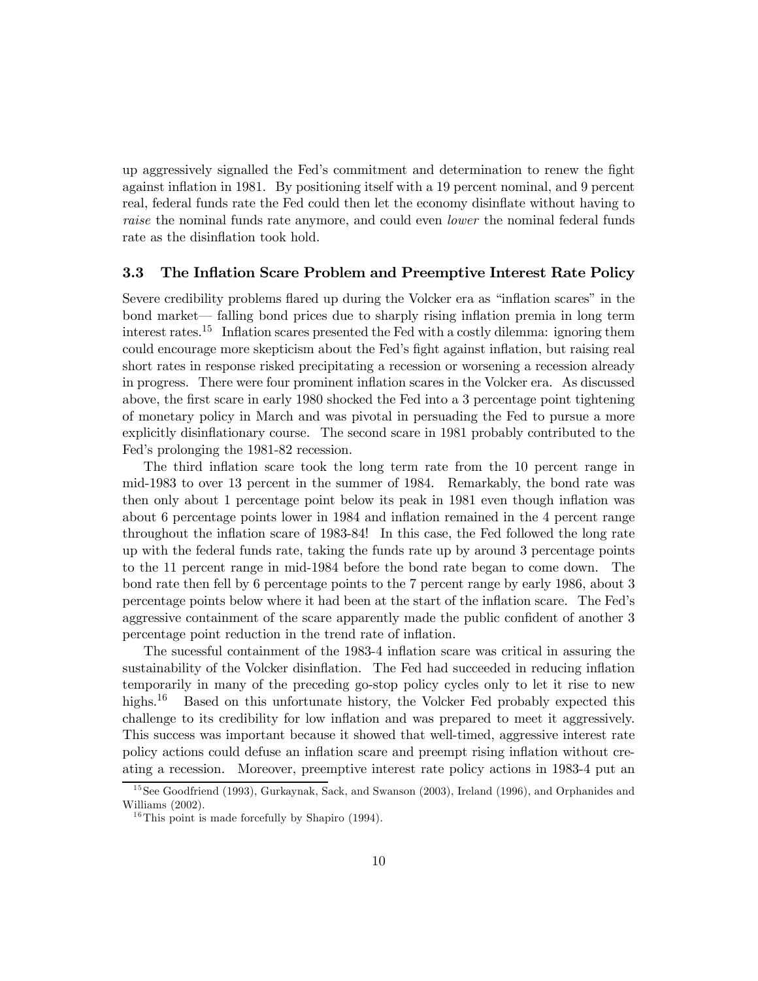up aggressively signalled the Fed's commitment and determination to renew the fight against inflation in 1981. By positioning itself with a 19 percent nominal, and 9 percent real, federal funds rate the Fed could then let the economy disinflate without having to raise the nominal funds rate anymore, and could even lower the nominal federal funds rate as the disinflation took hold.

## 3.3 The Inflation Scare Problem and Preemptive Interest Rate Policy

Severe credibility problems flared up during the Volcker era as "inflation scares" in the bond market– falling bond prices due to sharply rising inflation premia in long term interest rates.15 Inflation scares presented the Fed with a costly dilemma: ignoring them could encourage more skepticism about the Fed's fight against inflation, but raising real short rates in response risked precipitating a recession or worsening a recession already in progress. There were four prominent inflation scares in the Volcker era. As discussed above, the first scare in early 1980 shocked the Fed into a 3 percentage point tightening of monetary policy in March and was pivotal in persuading the Fed to pursue a more explicitly disinflationary course. The second scare in 1981 probably contributed to the Fed's prolonging the 1981-82 recession.

The third inflation scare took the long term rate from the 10 percent range in mid-1983 to over 13 percent in the summer of 1984. Remarkably, the bond rate was then only about 1 percentage point below its peak in 1981 even though inflation was about 6 percentage points lower in 1984 and inflation remained in the 4 percent range throughout the inflation scare of 1983-84! In this case, the Fed followed the long rate up with the federal funds rate, taking the funds rate up by around 3 percentage points to the 11 percent range in mid-1984 before the bond rate began to come down. The bond rate then fell by 6 percentage points to the 7 percent range by early 1986, about 3 percentage points below where it had been at the start of the inflation scare. The Fed's aggressive containment of the scare apparently made the public confident of another 3 percentage point reduction in the trend rate of inflation.

The sucessful containment of the 1983-4 inflation scare was critical in assuring the sustainability of the Volcker disinflation. The Fed had succeeded in reducing inflation temporarily in many of the preceding go-stop policy cycles only to let it rise to new highs.<sup>16</sup> Based on this unfortunate history, the Volcker Fed probably expected this challenge to its credibility for low inflation and was prepared to meet it aggressively. This success was important because it showed that well-timed, aggressive interest rate policy actions could defuse an inflation scare and preempt rising inflation without creating a recession. Moreover, preemptive interest rate policy actions in 1983-4 put an

<sup>&</sup>lt;sup>15</sup> See Goodfriend (1993), Gurkaynak, Sack, and Swanson (2003), Ireland (1996), and Orphanides and Williams (2002).

 $16$ This point is made forcefully by Shapiro (1994).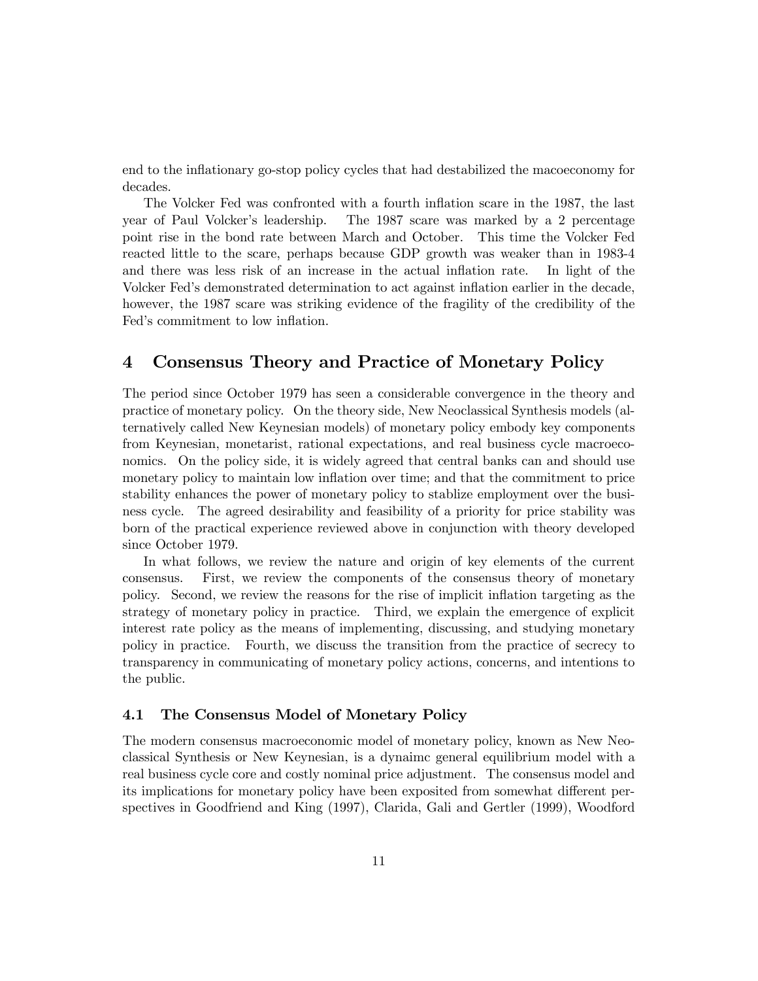end to the inflationary go-stop policy cycles that had destabilized the macoeconomy for decades.

The Volcker Fed was confronted with a fourth inflation scare in the 1987, the last year of Paul Volcker's leadership. The 1987 scare was marked by a 2 percentage point rise in the bond rate between March and October. This time the Volcker Fed reacted little to the scare, perhaps because GDP growth was weaker than in 1983-4 and there was less risk of an increase in the actual inflation rate. In light of the Volcker Fed's demonstrated determination to act against inflation earlier in the decade, however, the 1987 scare was striking evidence of the fragility of the credibility of the Fed's commitment to low inflation.

# 4 Consensus Theory and Practice of Monetary Policy

The period since October 1979 has seen a considerable convergence in the theory and practice of monetary policy. On the theory side, New Neoclassical Synthesis models (alternatively called New Keynesian models) of monetary policy embody key components from Keynesian, monetarist, rational expectations, and real business cycle macroeconomics. On the policy side, it is widely agreed that central banks can and should use monetary policy to maintain low inflation over time; and that the commitment to price stability enhances the power of monetary policy to stablize employment over the business cycle. The agreed desirability and feasibility of a priority for price stability was born of the practical experience reviewed above in conjunction with theory developed since October 1979.

In what follows, we review the nature and origin of key elements of the current consensus. First, we review the components of the consensus theory of monetary policy. Second, we review the reasons for the rise of implicit inflation targeting as the strategy of monetary policy in practice. Third, we explain the emergence of explicit interest rate policy as the means of implementing, discussing, and studying monetary policy in practice. Fourth, we discuss the transition from the practice of secrecy to transparency in communicating of monetary policy actions, concerns, and intentions to the public.

## 4.1 The Consensus Model of Monetary Policy

The modern consensus macroeconomic model of monetary policy, known as New Neoclassical Synthesis or New Keynesian, is a dynaimc general equilibrium model with a real business cycle core and costly nominal price adjustment. The consensus model and its implications for monetary policy have been exposited from somewhat different perspectives in Goodfriend and King (1997), Clarida, Gali and Gertler (1999), Woodford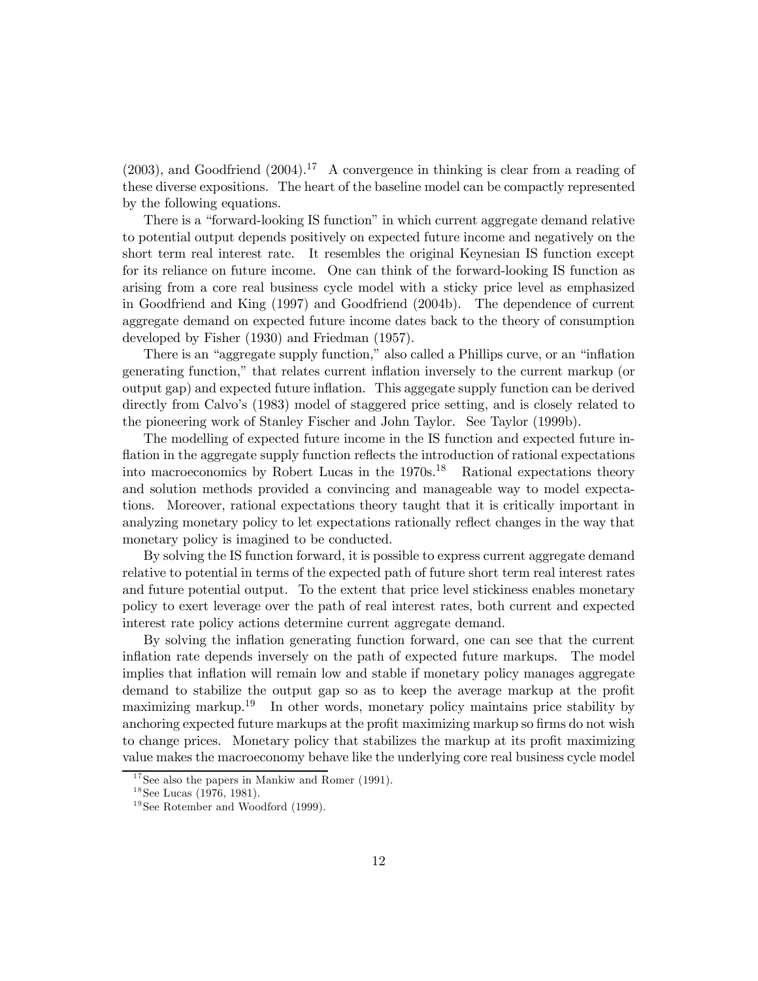$(2003)$ , and Goodfriend  $(2004)$ .<sup>17</sup> A convergence in thinking is clear from a reading of these diverse expositions. The heart of the baseline model can be compactly represented by the following equations.

There is a "forward-looking IS function" in which current aggregate demand relative to potential output depends positively on expected future income and negatively on the short term real interest rate. It resembles the original Keynesian IS function except for its reliance on future income. One can think of the forward-looking IS function as arising from a core real business cycle model with a sticky price level as emphasized in Goodfriend and King (1997) and Goodfriend (2004b). The dependence of current aggregate demand on expected future income dates back to the theory of consumption developed by Fisher (1930) and Friedman (1957).

There is an "aggregate supply function," also called a Phillips curve, or an "inflation generating function," that relates current inflation inversely to the current markup (or output gap) and expected future inflation. This aggegate supply function can be derived directly from Calvo's (1983) model of staggered price setting, and is closely related to the pioneering work of Stanley Fischer and John Taylor. See Taylor (1999b).

The modelling of expected future income in the IS function and expected future inflation in the aggregate supply function reflects the introduction of rational expectations into macroeconomics by Robert Lucas in the  $1970s^{18}$  Rational expectations theory and solution methods provided a convincing and manageable way to model expectations. Moreover, rational expectations theory taught that it is critically important in analyzing monetary policy to let expectations rationally reflect changes in the way that monetary policy is imagined to be conducted.

By solving the IS function forward, it is possible to express current aggregate demand relative to potential in terms of the expected path of future short term real interest rates and future potential output. To the extent that price level stickiness enables monetary policy to exert leverage over the path of real interest rates, both current and expected interest rate policy actions determine current aggregate demand.

By solving the inflation generating function forward, one can see that the current inflation rate depends inversely on the path of expected future markups. The model implies that inflation will remain low and stable if monetary policy manages aggregate demand to stabilize the output gap so as to keep the average markup at the profit maximizing markup.<sup>19</sup> In other words, monetary policy maintains price stability by anchoring expected future markups at the profit maximizing markup so firms do not wish to change prices. Monetary policy that stabilizes the markup at its profit maximizing value makes the macroeconomy behave like the underlying core real business cycle model

 $17$  See also the papers in Mankiw and Romer (1991).

 $18$ See Lucas (1976, 1981).

 $19$  See Rotember and Woodford (1999).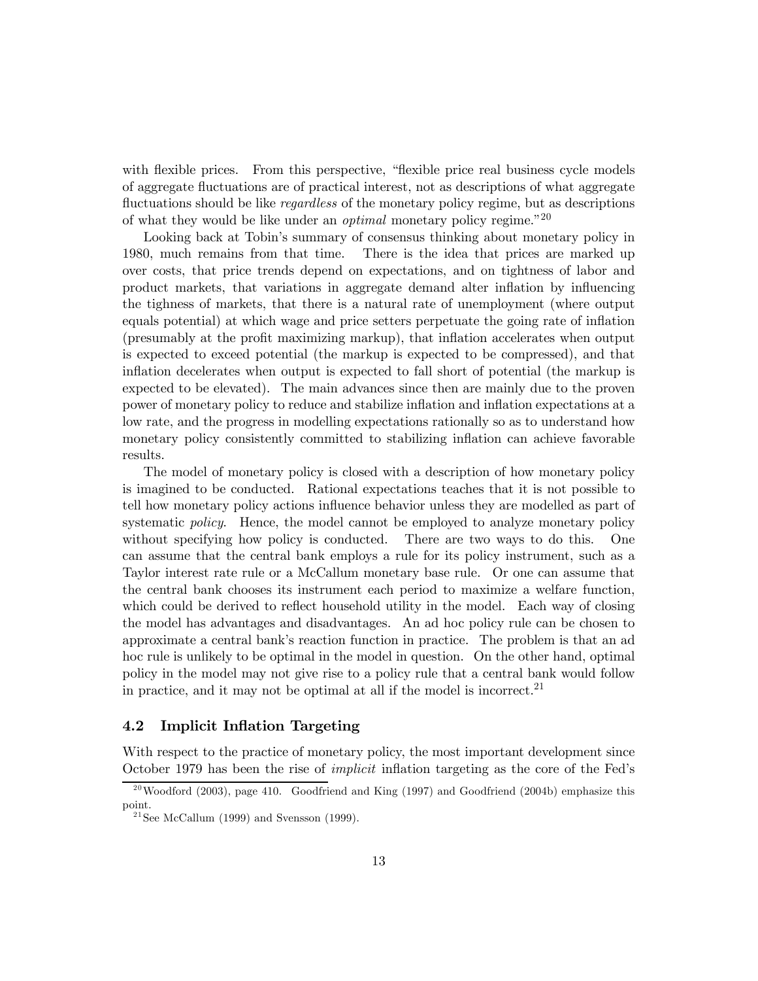with flexible prices. From this perspective, "flexible price real business cycle models of aggregate fluctuations are of practical interest, not as descriptions of what aggregate fluctuations should be like *regardless* of the monetary policy regime, but as descriptions of what they would be like under an *optimal* monetary policy regime.<sup>"20</sup>

Looking back at Tobin's summary of consensus thinking about monetary policy in 1980, much remains from that time. There is the idea that prices are marked up over costs, that price trends depend on expectations, and on tightness of labor and product markets, that variations in aggregate demand alter inflation by influencing the tighness of markets, that there is a natural rate of unemployment (where output equals potential) at which wage and price setters perpetuate the going rate of inflation (presumably at the profit maximizing markup), that inflation accelerates when output is expected to exceed potential (the markup is expected to be compressed), and that inflation decelerates when output is expected to fall short of potential (the markup is expected to be elevated). The main advances since then are mainly due to the proven power of monetary policy to reduce and stabilize inflation and inflation expectations at a low rate, and the progress in modelling expectations rationally so as to understand how monetary policy consistently committed to stabilizing inflation can achieve favorable results.

The model of monetary policy is closed with a description of how monetary policy is imagined to be conducted. Rational expectations teaches that it is not possible to tell how monetary policy actions influence behavior unless they are modelled as part of systematic *policy*. Hence, the model cannot be employed to analyze monetary policy without specifying how policy is conducted. There are two ways to do this. One can assume that the central bank employs a rule for its policy instrument, such as a Taylor interest rate rule or a McCallum monetary base rule. Or one can assume that the central bank chooses its instrument each period to maximize a welfare function, which could be derived to reflect household utility in the model. Each way of closing the model has advantages and disadvantages. An ad hoc policy rule can be chosen to approximate a central bank's reaction function in practice. The problem is that an ad hoc rule is unlikely to be optimal in the model in question. On the other hand, optimal policy in the model may not give rise to a policy rule that a central bank would follow in practice, and it may not be optimal at all if the model is incorrect.<sup>21</sup>

## 4.2 Implicit Inflation Targeting

With respect to the practice of monetary policy, the most important development since October 1979 has been the rise of implicit inflation targeting as the core of the Fed's

 $^{20}$  Woodford (2003), page 410. Goodfriend and King (1997) and Goodfriend (2004b) emphasize this point.

<sup>&</sup>lt;sup>21</sup> See McCallum (1999) and Svensson (1999).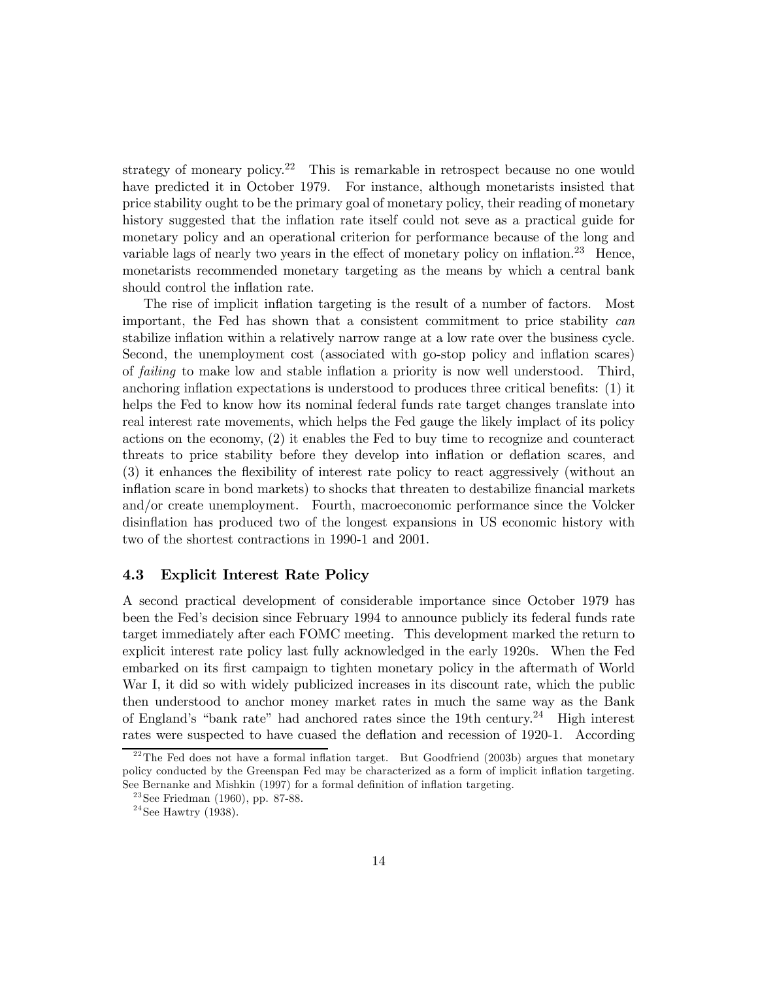strategy of moneary policy.<sup>22</sup> This is remarkable in retrospect because no one would have predicted it in October 1979. For instance, although monetarists insisted that price stability ought to be the primary goal of monetary policy, their reading of monetary history suggested that the inflation rate itself could not seve as a practical guide for monetary policy and an operational criterion for performance because of the long and variable lags of nearly two years in the effect of monetary policy on inflation.<sup>23</sup> Hence, monetarists recommended monetary targeting as the means by which a central bank should control the inflation rate.

The rise of implicit inflation targeting is the result of a number of factors. Most important, the Fed has shown that a consistent commitment to price stability can stabilize inflation within a relatively narrow range at a low rate over the business cycle. Second, the unemployment cost (associated with go-stop policy and inflation scares) of failing to make low and stable inflation a priority is now well understood. Third, anchoring inflation expectations is understood to produces three critical benefits: (1) it helps the Fed to know how its nominal federal funds rate target changes translate into real interest rate movements, which helps the Fed gauge the likely implact of its policy actions on the economy, (2) it enables the Fed to buy time to recognize and counteract threats to price stability before they develop into inflation or deflation scares, and (3) it enhances the flexibility of interest rate policy to react aggressively (without an inflation scare in bond markets) to shocks that threaten to destabilize financial markets and/or create unemployment. Fourth, macroeconomic performance since the Volcker disinflation has produced two of the longest expansions in US economic history with two of the shortest contractions in 1990-1 and 2001.

#### 4.3 Explicit Interest Rate Policy

A second practical development of considerable importance since October 1979 has been the Fed's decision since February 1994 to announce publicly its federal funds rate target immediately after each FOMC meeting. This development marked the return to explicit interest rate policy last fully acknowledged in the early 1920s. When the Fed embarked on its first campaign to tighten monetary policy in the aftermath of World War I, it did so with widely publicized increases in its discount rate, which the public then understood to anchor money market rates in much the same way as the Bank of England's "bank rate" had anchored rates since the 19th century.<sup>24</sup> High interest rates were suspected to have cuased the deflation and recession of 1920-1. According

<sup>&</sup>lt;sup>22</sup>The Fed does not have a formal inflation target. But Goodfriend (2003b) argues that monetary policy conducted by the Greenspan Fed may be characterized as a form of implicit inflation targeting. See Bernanke and Mishkin (1997) for a formal definition of inflation targeting.

 $23$ See Friedman (1960), pp. 87-88.

 $24$ See Hawtry (1938).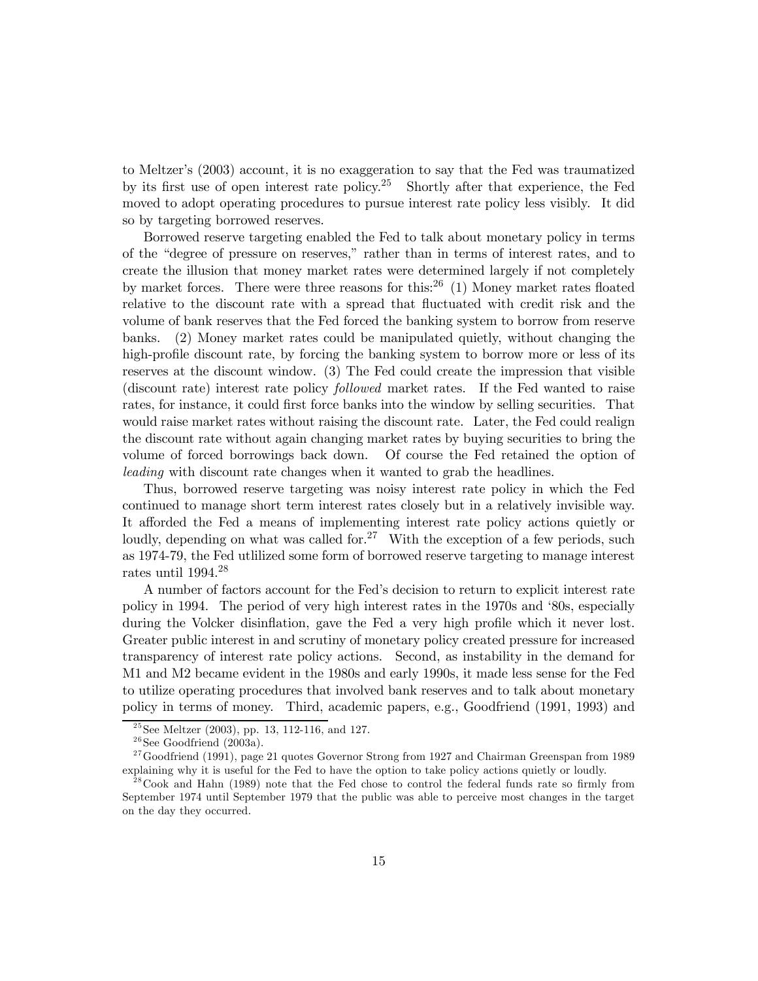to Meltzer's (2003) account, it is no exaggeration to say that the Fed was traumatized by its first use of open interest rate policy.25 Shortly after that experience, the Fed moved to adopt operating procedures to pursue interest rate policy less visibly. It did so by targeting borrowed reserves.

Borrowed reserve targeting enabled the Fed to talk about monetary policy in terms of the "degree of pressure on reserves," rather than in terms of interest rates, and to create the illusion that money market rates were determined largely if not completely by market forces. There were three reasons for this:<sup>26</sup> (1) Money market rates floated relative to the discount rate with a spread that fluctuated with credit risk and the volume of bank reserves that the Fed forced the banking system to borrow from reserve banks. (2) Money market rates could be manipulated quietly, without changing the high-profile discount rate, by forcing the banking system to borrow more or less of its reserves at the discount window. (3) The Fed could create the impression that visible (discount rate) interest rate policy followed market rates. If the Fed wanted to raise rates, for instance, it could first force banks into the window by selling securities. That would raise market rates without raising the discount rate. Later, the Fed could realign the discount rate without again changing market rates by buying securities to bring the volume of forced borrowings back down. Of course the Fed retained the option of leading with discount rate changes when it wanted to grab the headlines.

Thus, borrowed reserve targeting was noisy interest rate policy in which the Fed continued to manage short term interest rates closely but in a relatively invisible way. It afforded the Fed a means of implementing interest rate policy actions quietly or loudly, depending on what was called for.<sup>27</sup> With the exception of a few periods, such as 1974-79, the Fed utlilized some form of borrowed reserve targeting to manage interest rates until 1994.28

A number of factors account for the Fed's decision to return to explicit interest rate policy in 1994. The period of very high interest rates in the 1970s and '80s, especially during the Volcker disinflation, gave the Fed a very high profile which it never lost. Greater public interest in and scrutiny of monetary policy created pressure for increased transparency of interest rate policy actions. Second, as instability in the demand for M1 and M2 became evident in the 1980s and early 1990s, it made less sense for the Fed to utilize operating procedures that involved bank reserves and to talk about monetary policy in terms of money. Third, academic papers, e.g., Goodfriend (1991, 1993) and

 $^{25}$ See Meltzer (2003), pp. 13, 112-116, and 127.

 $26$ See Goodfriend (2003a).

 $27$  Goodfriend (1991), page 21 quotes Governor Strong from 1927 and Chairman Greenspan from 1989 explaining why it is useful for the Fed to have the option to take policy actions quietly or loudly.

 $2<sup>28</sup>$  Cook and Hahn (1989) note that the Fed chose to control the federal funds rate so firmly from September 1974 until September 1979 that the public was able to perceive most changes in the target on the day they occurred.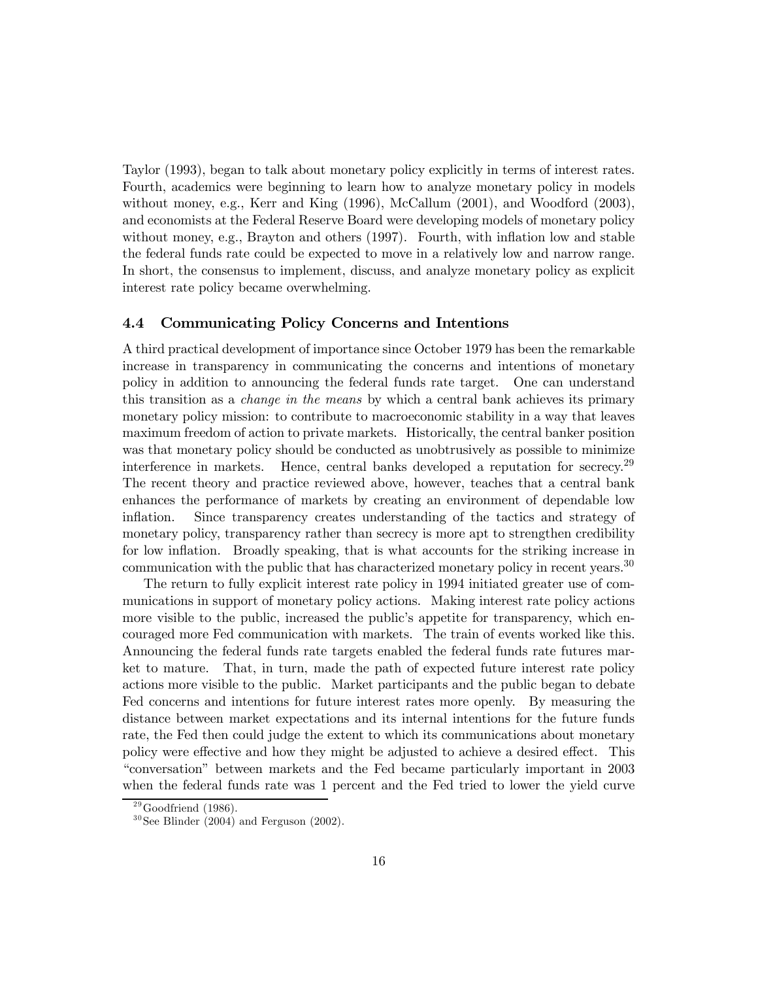Taylor (1993), began to talk about monetary policy explicitly in terms of interest rates. Fourth, academics were beginning to learn how to analyze monetary policy in models without money, e.g., Kerr and King (1996), McCallum (2001), and Woodford (2003), and economists at the Federal Reserve Board were developing models of monetary policy without money, e.g., Brayton and others (1997). Fourth, with inflation low and stable the federal funds rate could be expected to move in a relatively low and narrow range. In short, the consensus to implement, discuss, and analyze monetary policy as explicit interest rate policy became overwhelming.

## 4.4 Communicating Policy Concerns and Intentions

A third practical development of importance since October 1979 has been the remarkable increase in transparency in communicating the concerns and intentions of monetary policy in addition to announcing the federal funds rate target. One can understand this transition as a change in the means by which a central bank achieves its primary monetary policy mission: to contribute to macroeconomic stability in a way that leaves maximum freedom of action to private markets. Historically, the central banker position was that monetary policy should be conducted as unobtrusively as possible to minimize interference in markets. Hence, central banks developed a reputation for secrecy.29 The recent theory and practice reviewed above, however, teaches that a central bank enhances the performance of markets by creating an environment of dependable low inflation. Since transparency creates understanding of the tactics and strategy of monetary policy, transparency rather than secrecy is more apt to strengthen credibility for low inflation. Broadly speaking, that is what accounts for the striking increase in communication with the public that has characterized monetary policy in recent years.<sup>30</sup>

The return to fully explicit interest rate policy in 1994 initiated greater use of communications in support of monetary policy actions. Making interest rate policy actions more visible to the public, increased the public's appetite for transparency, which encouraged more Fed communication with markets. The train of events worked like this. Announcing the federal funds rate targets enabled the federal funds rate futures market to mature. That, in turn, made the path of expected future interest rate policy actions more visible to the public. Market participants and the public began to debate Fed concerns and intentions for future interest rates more openly. By measuring the distance between market expectations and its internal intentions for the future funds rate, the Fed then could judge the extent to which its communications about monetary policy were effective and how they might be adjusted to achieve a desired effect. This "conversation" between markets and the Fed became particularly important in 2003 when the federal funds rate was 1 percent and the Fed tried to lower the yield curve

 $^{29}$ Goodfriend (1986).

 $30$  See Blinder (2004) and Ferguson (2002).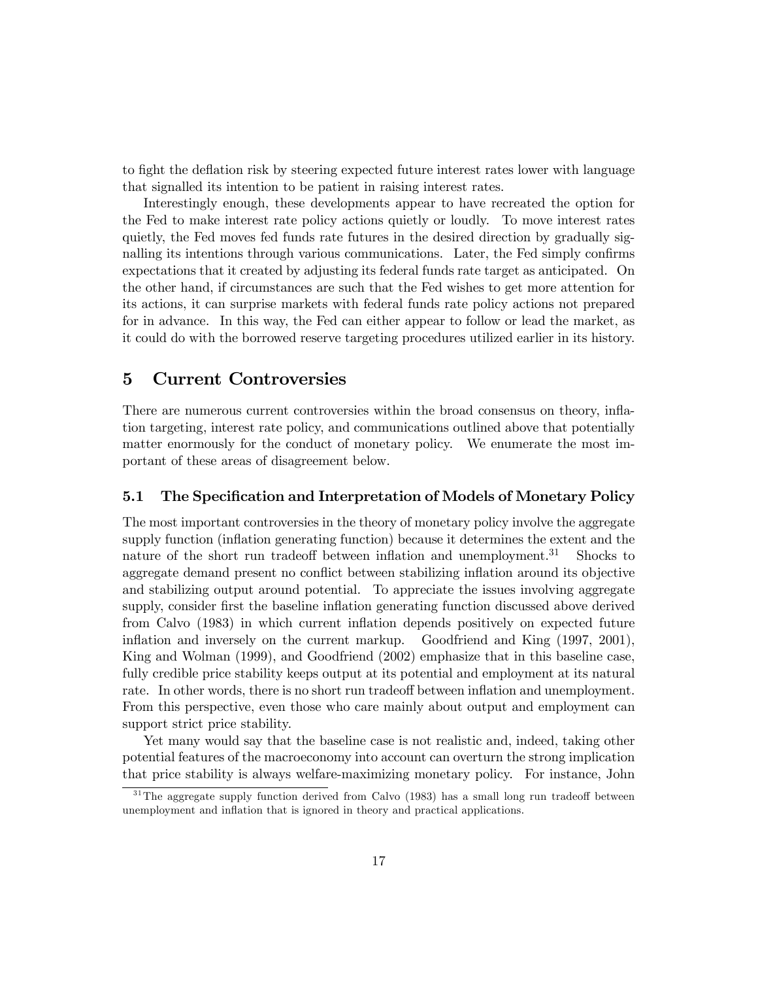to fight the deflation risk by steering expected future interest rates lower with language that signalled its intention to be patient in raising interest rates.

Interestingly enough, these developments appear to have recreated the option for the Fed to make interest rate policy actions quietly or loudly. To move interest rates quietly, the Fed moves fed funds rate futures in the desired direction by gradually signalling its intentions through various communications. Later, the Fed simply confirms expectations that it created by adjusting its federal funds rate target as anticipated. On the other hand, if circumstances are such that the Fed wishes to get more attention for its actions, it can surprise markets with federal funds rate policy actions not prepared for in advance. In this way, the Fed can either appear to follow or lead the market, as it could do with the borrowed reserve targeting procedures utilized earlier in its history.

# 5 Current Controversies

There are numerous current controversies within the broad consensus on theory, inflation targeting, interest rate policy, and communications outlined above that potentially matter enormously for the conduct of monetary policy. We enumerate the most important of these areas of disagreement below.

## 5.1 The Specification and Interpretation of Models of Monetary Policy

The most important controversies in the theory of monetary policy involve the aggregate supply function (inflation generating function) because it determines the extent and the nature of the short run tradeoff between inflation and unemployment.<sup>31</sup> Shocks to aggregate demand present no conflict between stabilizing inflation around its objective and stabilizing output around potential. To appreciate the issues involving aggregate supply, consider first the baseline inflation generating function discussed above derived from Calvo (1983) in which current inflation depends positively on expected future inflation and inversely on the current markup. Goodfriend and King (1997, 2001), King and Wolman (1999), and Goodfriend (2002) emphasize that in this baseline case, fully credible price stability keeps output at its potential and employment at its natural rate. In other words, there is no short run tradeoff between inflation and unemployment. From this perspective, even those who care mainly about output and employment can support strict price stability.

Yet many would say that the baseline case is not realistic and, indeed, taking other potential features of the macroeconomy into account can overturn the strong implication that price stability is always welfare-maximizing monetary policy. For instance, John

 $31$ The aggregate supply function derived from Calvo (1983) has a small long run tradeoff between unemployment and inflation that is ignored in theory and practical applications.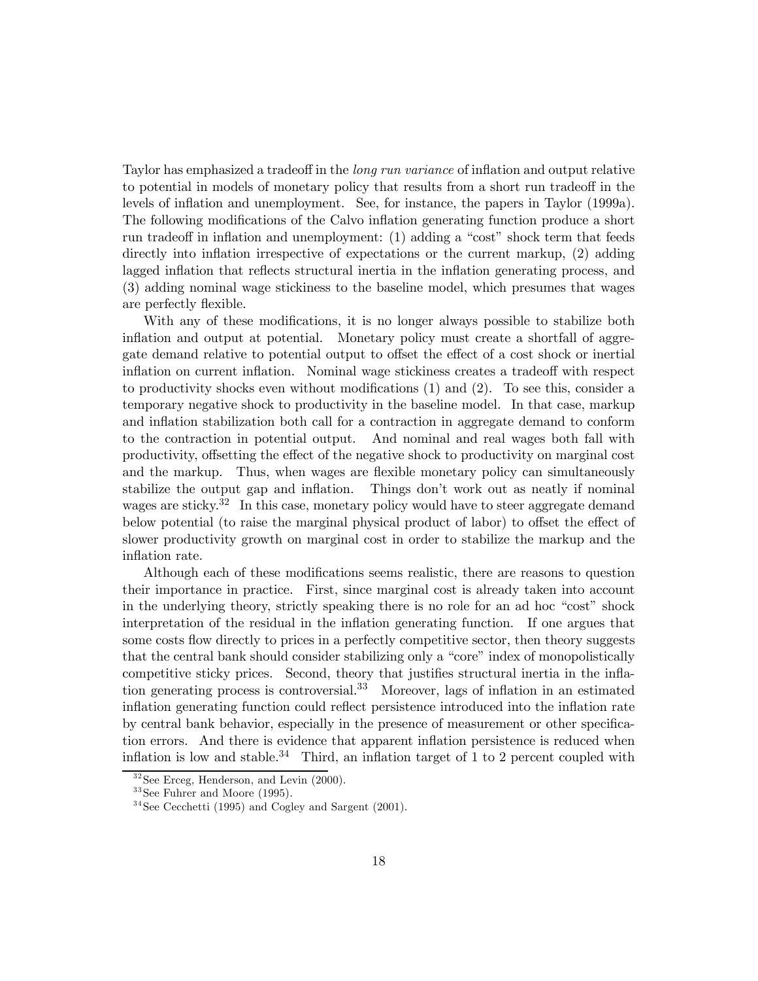Taylor has emphasized a tradeoff in the long run variance of inflation and output relative to potential in models of monetary policy that results from a short run tradeoff in the levels of inflation and unemployment. See, for instance, the papers in Taylor (1999a). The following modifications of the Calvo inflation generating function produce a short run tradeoff in inflation and unemployment: (1) adding a "cost" shock term that feeds directly into inflation irrespective of expectations or the current markup, (2) adding lagged inflation that reflects structural inertia in the inflation generating process, and (3) adding nominal wage stickiness to the baseline model, which presumes that wages are perfectly flexible.

With any of these modifications, it is no longer always possible to stabilize both inflation and output at potential. Monetary policy must create a shortfall of aggregate demand relative to potential output to offset the effect of a cost shock or inertial inflation on current inflation. Nominal wage stickiness creates a tradeoff with respect to productivity shocks even without modifications (1) and (2). To see this, consider a temporary negative shock to productivity in the baseline model. In that case, markup and inflation stabilization both call for a contraction in aggregate demand to conform to the contraction in potential output. And nominal and real wages both fall with productivity, offsetting the effect of the negative shock to productivity on marginal cost and the markup. Thus, when wages are flexible monetary policy can simultaneously stabilize the output gap and inflation. Things don't work out as neatly if nominal wages are sticky.<sup>32</sup> In this case, monetary policy would have to steer aggregate demand below potential (to raise the marginal physical product of labor) to offset the effect of slower productivity growth on marginal cost in order to stabilize the markup and the inflation rate.

Although each of these modifications seems realistic, there are reasons to question their importance in practice. First, since marginal cost is already taken into account in the underlying theory, strictly speaking there is no role for an ad hoc "cost" shock interpretation of the residual in the inflation generating function. If one argues that some costs flow directly to prices in a perfectly competitive sector, then theory suggests that the central bank should consider stabilizing only a "core" index of monopolistically competitive sticky prices. Second, theory that justifies structural inertia in the inflation generating process is controversial.33 Moreover, lags of inflation in an estimated inflation generating function could reflect persistence introduced into the inflation rate by central bank behavior, especially in the presence of measurement or other specification errors. And there is evidence that apparent inflation persistence is reduced when inflation is low and stable.<sup>34</sup> Third, an inflation target of 1 to 2 percent coupled with

 $32$  See Erceg, Henderson, and Levin  $(2000)$ .

 $33$ See Fuhrer and Moore (1995).

 $34$ See Cecchetti (1995) and Cogley and Sargent (2001).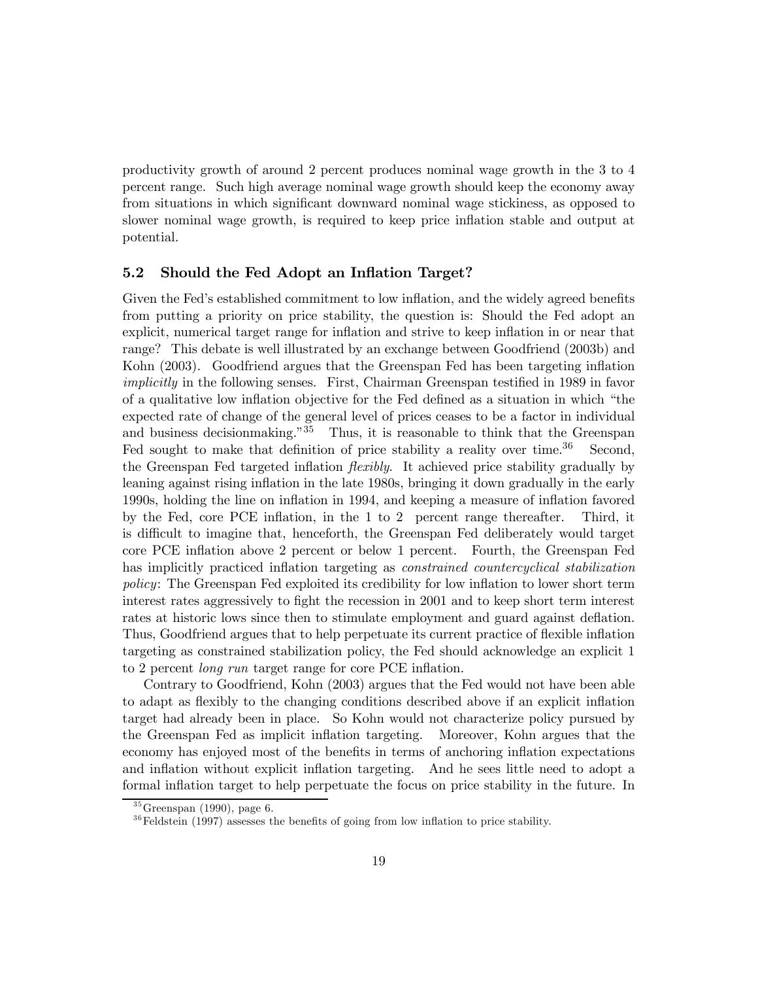productivity growth of around 2 percent produces nominal wage growth in the 3 to 4 percent range. Such high average nominal wage growth should keep the economy away from situations in which significant downward nominal wage stickiness, as opposed to slower nominal wage growth, is required to keep price inflation stable and output at potential.

## 5.2 Should the Fed Adopt an Inflation Target?

Given the Fed's established commitment to low inflation, and the widely agreed benefits from putting a priority on price stability, the question is: Should the Fed adopt an explicit, numerical target range for inflation and strive to keep inflation in or near that range? This debate is well illustrated by an exchange between Goodfriend (2003b) and Kohn (2003). Goodfriend argues that the Greenspan Fed has been targeting inflation implicitly in the following senses. First, Chairman Greenspan testified in 1989 in favor of a qualitative low inflation objective for the Fed defined as a situation in which "the expected rate of change of the general level of prices ceases to be a factor in individual and business decision making." $35$  Thus, it is reasonable to think that the Greenspan Fed sought to make that definition of price stability a reality over time.<sup>36</sup> Second, the Greenspan Fed targeted inflation flexibly. It achieved price stability gradually by leaning against rising inflation in the late 1980s, bringing it down gradually in the early 1990s, holding the line on inflation in 1994, and keeping a measure of inflation favored by the Fed, core PCE inflation, in the 1 to 2 percent range thereafter. Third, it is difficult to imagine that, henceforth, the Greenspan Fed deliberately would target core PCE inflation above 2 percent or below 1 percent. Fourth, the Greenspan Fed has implicitly practiced inflation targeting as constrained countercyclical stabilization policy: The Greenspan Fed exploited its credibility for low inflation to lower short term interest rates aggressively to fight the recession in 2001 and to keep short term interest rates at historic lows since then to stimulate employment and guard against deflation. Thus, Goodfriend argues that to help perpetuate its current practice of flexible inflation targeting as constrained stabilization policy, the Fed should acknowledge an explicit 1 to 2 percent long run target range for core PCE inflation.

Contrary to Goodfriend, Kohn (2003) argues that the Fed would not have been able to adapt as flexibly to the changing conditions described above if an explicit inflation target had already been in place. So Kohn would not characterize policy pursued by the Greenspan Fed as implicit inflation targeting. Moreover, Kohn argues that the economy has enjoyed most of the benefits in terms of anchoring inflation expectations and inflation without explicit inflation targeting. And he sees little need to adopt a formal inflation target to help perpetuate the focus on price stability in the future. In

 $35$ Greenspan (1990), page 6.

 $36$  Feldstein (1997) assesses the benefits of going from low inflation to price stability.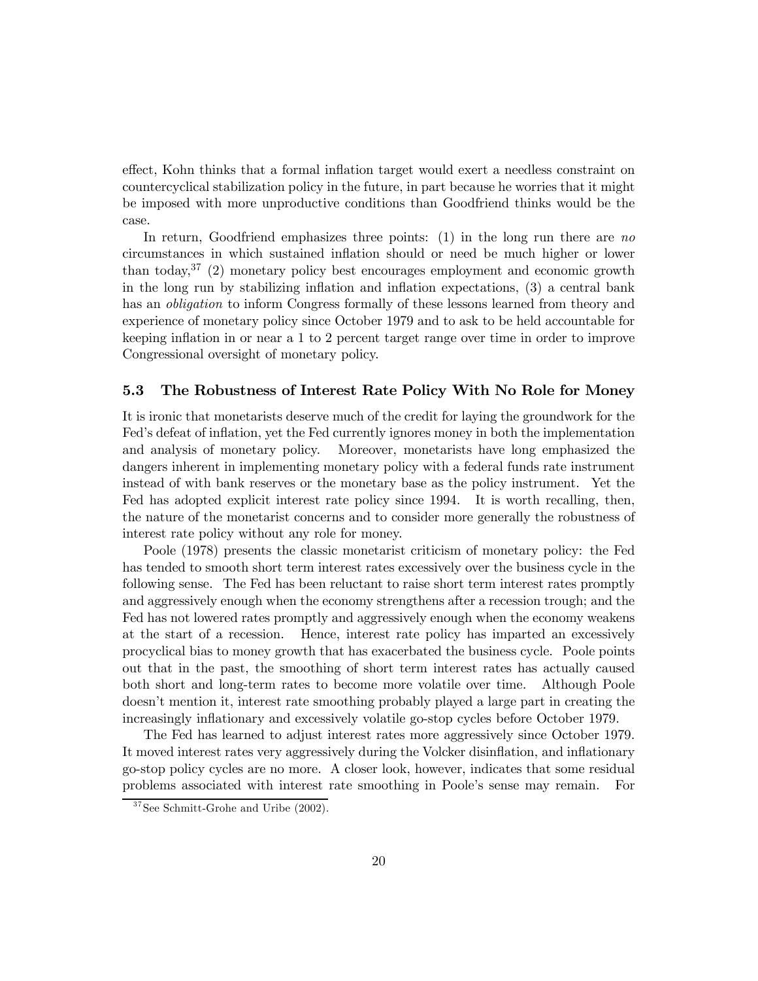effect, Kohn thinks that a formal inflation target would exert a needless constraint on countercyclical stabilization policy in the future, in part because he worries that it might be imposed with more unproductive conditions than Goodfriend thinks would be the case.

In return, Goodfriend emphasizes three points:  $(1)$  in the long run there are no circumstances in which sustained inflation should or need be much higher or lower than today,<sup>37</sup> (2) monetary policy best encourages employment and economic growth in the long run by stabilizing inflation and inflation expectations, (3) a central bank has an obligation to inform Congress formally of these lessons learned from theory and experience of monetary policy since October 1979 and to ask to be held accountable for keeping inflation in or near a 1 to 2 percent target range over time in order to improve Congressional oversight of monetary policy.

## 5.3 The Robustness of Interest Rate Policy With No Role for Money

It is ironic that monetarists deserve much of the credit for laying the groundwork for the Fed's defeat of inflation, yet the Fed currently ignores money in both the implementation and analysis of monetary policy. Moreover, monetarists have long emphasized the dangers inherent in implementing monetary policy with a federal funds rate instrument instead of with bank reserves or the monetary base as the policy instrument. Yet the Fed has adopted explicit interest rate policy since 1994. It is worth recalling, then, the nature of the monetarist concerns and to consider more generally the robustness of interest rate policy without any role for money.

Poole (1978) presents the classic monetarist criticism of monetary policy: the Fed has tended to smooth short term interest rates excessively over the business cycle in the following sense. The Fed has been reluctant to raise short term interest rates promptly and aggressively enough when the economy strengthens after a recession trough; and the Fed has not lowered rates promptly and aggressively enough when the economy weakens at the start of a recession. Hence, interest rate policy has imparted an excessively procyclical bias to money growth that has exacerbated the business cycle. Poole points out that in the past, the smoothing of short term interest rates has actually caused both short and long-term rates to become more volatile over time. Although Poole doesn't mention it, interest rate smoothing probably played a large part in creating the increasingly inflationary and excessively volatile go-stop cycles before October 1979.

The Fed has learned to adjust interest rates more aggressively since October 1979. It moved interest rates very aggressively during the Volcker disinflation, and inflationary go-stop policy cycles are no more. A closer look, however, indicates that some residual problems associated with interest rate smoothing in Poole's sense may remain. For

 $37$ See Schmitt-Grohe and Uribe (2002).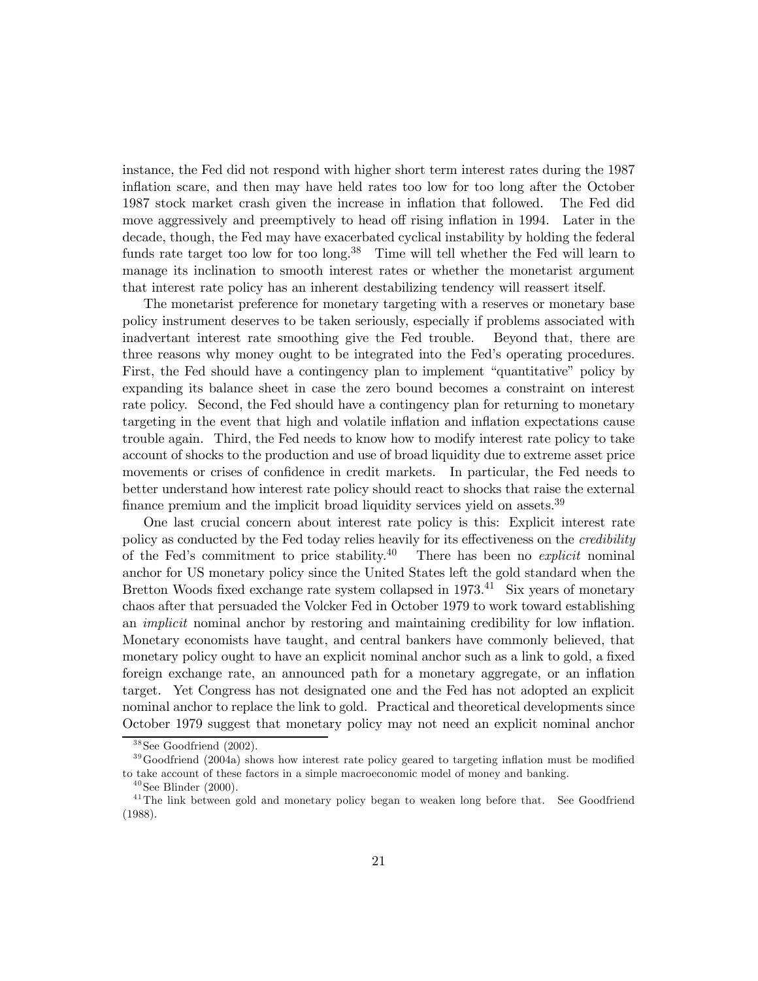instance, the Fed did not respond with higher short term interest rates during the 1987 inflation scare, and then may have held rates too low for too long after the October 1987 stock market crash given the increase in inflation that followed. The Fed did move aggressively and preemptively to head off rising inflation in 1994. Later in the decade, though, the Fed may have exacerbated cyclical instability by holding the federal funds rate target too low for too long.<sup>38</sup> Time will tell whether the Fed will learn to manage its inclination to smooth interest rates or whether the monetarist argument that interest rate policy has an inherent destabilizing tendency will reassert itself.

The monetarist preference for monetary targeting with a reserves or monetary base policy instrument deserves to be taken seriously, especially if problems associated with inadvertant interest rate smoothing give the Fed trouble. Beyond that, there are three reasons why money ought to be integrated into the Fed's operating procedures. First, the Fed should have a contingency plan to implement "quantitative" policy by expanding its balance sheet in case the zero bound becomes a constraint on interest rate policy. Second, the Fed should have a contingency plan for returning to monetary targeting in the event that high and volatile inflation and inflation expectations cause trouble again. Third, the Fed needs to know how to modify interest rate policy to take account of shocks to the production and use of broad liquidity due to extreme asset price movements or crises of confidence in credit markets. In particular, the Fed needs to better understand how interest rate policy should react to shocks that raise the external finance premium and the implicit broad liquidity services yield on assets.<sup>39</sup>

One last crucial concern about interest rate policy is this: Explicit interest rate policy as conducted by the Fed today relies heavily for its effectiveness on the credibility of the Fed's commitment to price stability.<sup>40</sup> There has been no *explicit* nominal anchor for US monetary policy since the United States left the gold standard when the Bretton Woods fixed exchange rate system collapsed in  $1973<sup>41</sup>$  Six years of monetary chaos after that persuaded the Volcker Fed in October 1979 to work toward establishing an implicit nominal anchor by restoring and maintaining credibility for low inflation. Monetary economists have taught, and central bankers have commonly believed, that monetary policy ought to have an explicit nominal anchor such as a link to gold, a fixed foreign exchange rate, an announced path for a monetary aggregate, or an inflation target. Yet Congress has not designated one and the Fed has not adopted an explicit nominal anchor to replace the link to gold. Practical and theoretical developments since October 1979 suggest that monetary policy may not need an explicit nominal anchor

 $38$  See Goodfriend  $(2002)$ .

 $39\text{Goodfriend}$  (2004a) shows how interest rate policy geared to targeting inflation must be modified to take account of these factors in a simple macroeconomic model of money and banking.

 $40$  See Blinder (2000).

<sup>&</sup>lt;sup>41</sup>The link between gold and monetary policy began to weaken long before that. See Goodfriend (1988).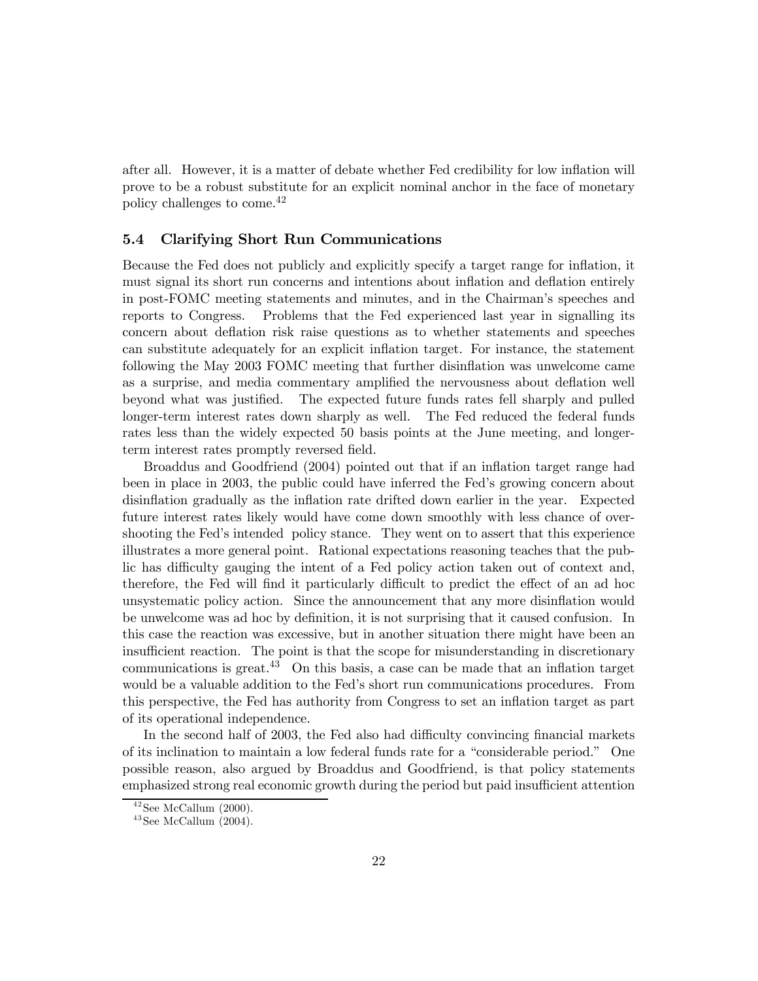after all. However, it is a matter of debate whether Fed credibility for low inflation will prove to be a robust substitute for an explicit nominal anchor in the face of monetary policy challenges to come.42

## 5.4 Clarifying Short Run Communications

Because the Fed does not publicly and explicitly specify a target range for inflation, it must signal its short run concerns and intentions about inflation and deflation entirely in post-FOMC meeting statements and minutes, and in the Chairman's speeches and reports to Congress. Problems that the Fed experienced last year in signalling its concern about deflation risk raise questions as to whether statements and speeches can substitute adequately for an explicit inflation target. For instance, the statement following the May 2003 FOMC meeting that further disinflation was unwelcome came as a surprise, and media commentary amplified the nervousness about deflation well beyond what was justified. The expected future funds rates fell sharply and pulled longer-term interest rates down sharply as well. The Fed reduced the federal funds rates less than the widely expected 50 basis points at the June meeting, and longerterm interest rates promptly reversed field.

Broaddus and Goodfriend (2004) pointed out that if an inflation target range had been in place in 2003, the public could have inferred the Fed's growing concern about disinflation gradually as the inflation rate drifted down earlier in the year. Expected future interest rates likely would have come down smoothly with less chance of overshooting the Fed's intended policy stance. They went on to assert that this experience illustrates a more general point. Rational expectations reasoning teaches that the public has difficulty gauging the intent of a Fed policy action taken out of context and, therefore, the Fed will find it particularly difficult to predict the effect of an ad hoc unsystematic policy action. Since the announcement that any more disinflation would be unwelcome was ad hoc by definition, it is not surprising that it caused confusion. In this case the reaction was excessive, but in another situation there might have been an insufficient reaction. The point is that the scope for misunderstanding in discretionary communications is great. $43$  On this basis, a case can be made that an inflation target would be a valuable addition to the Fed's short run communications procedures. From this perspective, the Fed has authority from Congress to set an inflation target as part of its operational independence.

In the second half of 2003, the Fed also had difficulty convincing financial markets of its inclination to maintain a low federal funds rate for a "considerable period." One possible reason, also argued by Broaddus and Goodfriend, is that policy statements emphasized strong real economic growth during the period but paid insufficient attention

 $42$  See McCallum  $(2000)$ .

 $43$  See McCallum  $(2004)$ .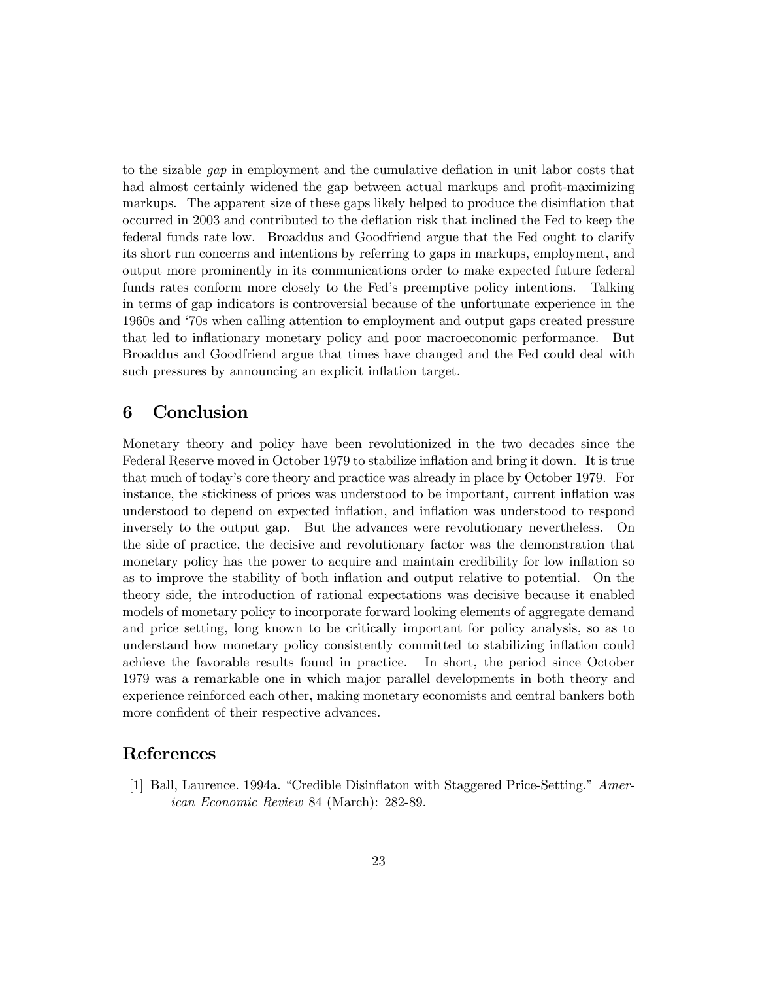to the sizable gap in employment and the cumulative deflation in unit labor costs that had almost certainly widened the gap between actual markups and profit-maximizing markups. The apparent size of these gaps likely helped to produce the disinflation that occurred in 2003 and contributed to the deflation risk that inclined the Fed to keep the federal funds rate low. Broaddus and Goodfriend argue that the Fed ought to clarify its short run concerns and intentions by referring to gaps in markups, employment, and output more prominently in its communications order to make expected future federal funds rates conform more closely to the Fed's preemptive policy intentions. Talking in terms of gap indicators is controversial because of the unfortunate experience in the 1960s and '70s when calling attention to employment and output gaps created pressure that led to inflationary monetary policy and poor macroeconomic performance. But Broaddus and Goodfriend argue that times have changed and the Fed could deal with such pressures by announcing an explicit inflation target.

# 6 Conclusion

Monetary theory and policy have been revolutionized in the two decades since the Federal Reserve moved in October 1979 to stabilize inflation and bring it down. It is true that much of today's core theory and practice was already in place by October 1979. For instance, the stickiness of prices was understood to be important, current inflation was understood to depend on expected inflation, and inflation was understood to respond inversely to the output gap. But the advances were revolutionary nevertheless. On the side of practice, the decisive and revolutionary factor was the demonstration that monetary policy has the power to acquire and maintain credibility for low inflation so as to improve the stability of both inflation and output relative to potential. On the theory side, the introduction of rational expectations was decisive because it enabled models of monetary policy to incorporate forward looking elements of aggregate demand and price setting, long known to be critically important for policy analysis, so as to understand how monetary policy consistently committed to stabilizing inflation could achieve the favorable results found in practice. In short, the period since October 1979 was a remarkable one in which major parallel developments in both theory and experience reinforced each other, making monetary economists and central bankers both more confident of their respective advances.

# References

[1] Ball, Laurence. 1994a. "Credible Disinflaton with Staggered Price-Setting." American Economic Review 84 (March): 282-89.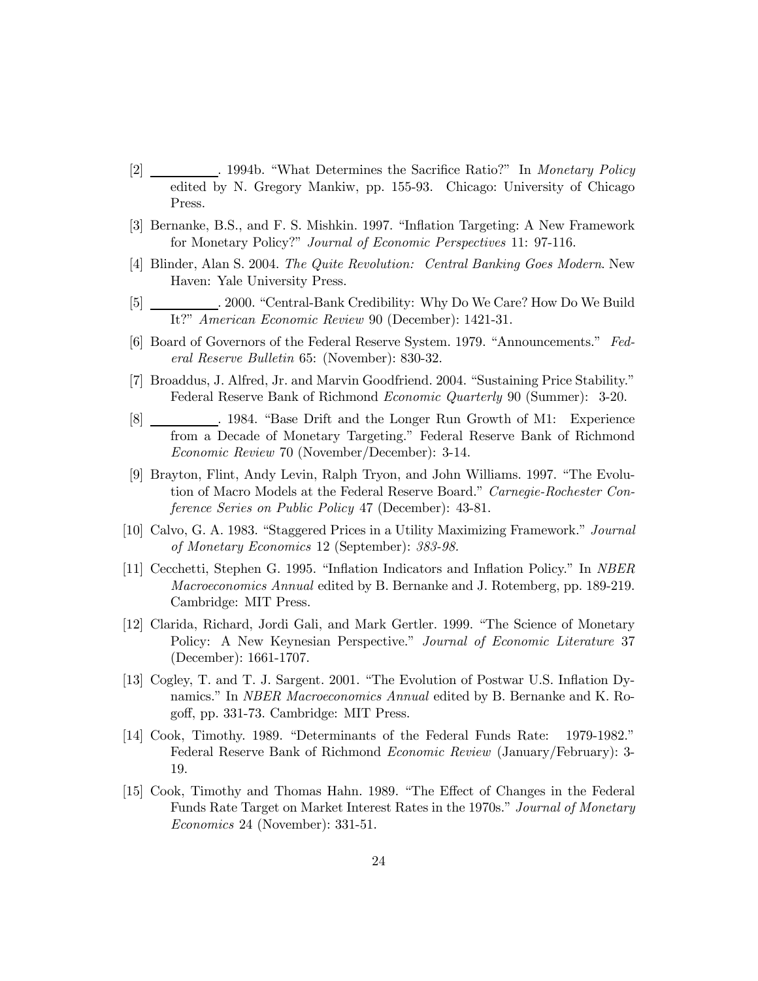- [2] . 1994b. "What Determines the Sacrifice Ratio?" In Monetary Policy edited by N. Gregory Mankiw, pp. 155-93. Chicago: University of Chicago Press.
- [3] Bernanke, B.S., and F. S. Mishkin. 1997. "Inflation Targeting: A New Framework for Monetary Policy?" Journal of Economic Perspectives 11: 97-116.
- [4] Blinder, Alan S. 2004. The Quite Revolution: Central Banking Goes Modern. New Haven: Yale University Press.
- [5] . 2000. "Central-Bank Credibility: Why Do We Care? How Do We Build It?" American Economic Review 90 (December): 1421-31.
- [6] Board of Governors of the Federal Reserve System. 1979. "Announcements." Federal Reserve Bulletin 65: (November): 830-32.
- [7] Broaddus, J. Alfred, Jr. and Marvin Goodfriend. 2004. "Sustaining Price Stability." Federal Reserve Bank of Richmond Economic Quarterly 90 (Summer): 3-20.
- [8] . 1984. "Base Drift and the Longer Run Growth of M1: Experience from a Decade of Monetary Targeting." Federal Reserve Bank of Richmond Economic Review 70 (November/December): 3-14.
- [9] Brayton, Flint, Andy Levin, Ralph Tryon, and John Williams. 1997. "The Evolution of Macro Models at the Federal Reserve Board." Carnegie-Rochester Conference Series on Public Policy 47 (December): 43-81.
- [10] Calvo, G. A. 1983. "Staggered Prices in a Utility Maximizing Framework." Journal of Monetary Economics 12 (September): 383-98.
- [11] Cecchetti, Stephen G. 1995. "Inflation Indicators and Inflation Policy." In NBER Macroeconomics Annual edited by B. Bernanke and J. Rotemberg, pp. 189-219. Cambridge: MIT Press.
- [12] Clarida, Richard, Jordi Gali, and Mark Gertler. 1999. "The Science of Monetary Policy: A New Keynesian Perspective." Journal of Economic Literature 37 (December): 1661-1707.
- [13] Cogley, T. and T. J. Sargent. 2001. "The Evolution of Postwar U.S. Inflation Dynamics." In NBER Macroeconomics Annual edited by B. Bernanke and K. Rogoff, pp. 331-73. Cambridge: MIT Press.
- [14] Cook, Timothy. 1989. "Determinants of the Federal Funds Rate: 1979-1982." Federal Reserve Bank of Richmond Economic Review (January/February): 3- 19.
- [15] Cook, Timothy and Thomas Hahn. 1989. "The Effect of Changes in the Federal Funds Rate Target on Market Interest Rates in the 1970s." Journal of Monetary Economics 24 (November): 331-51.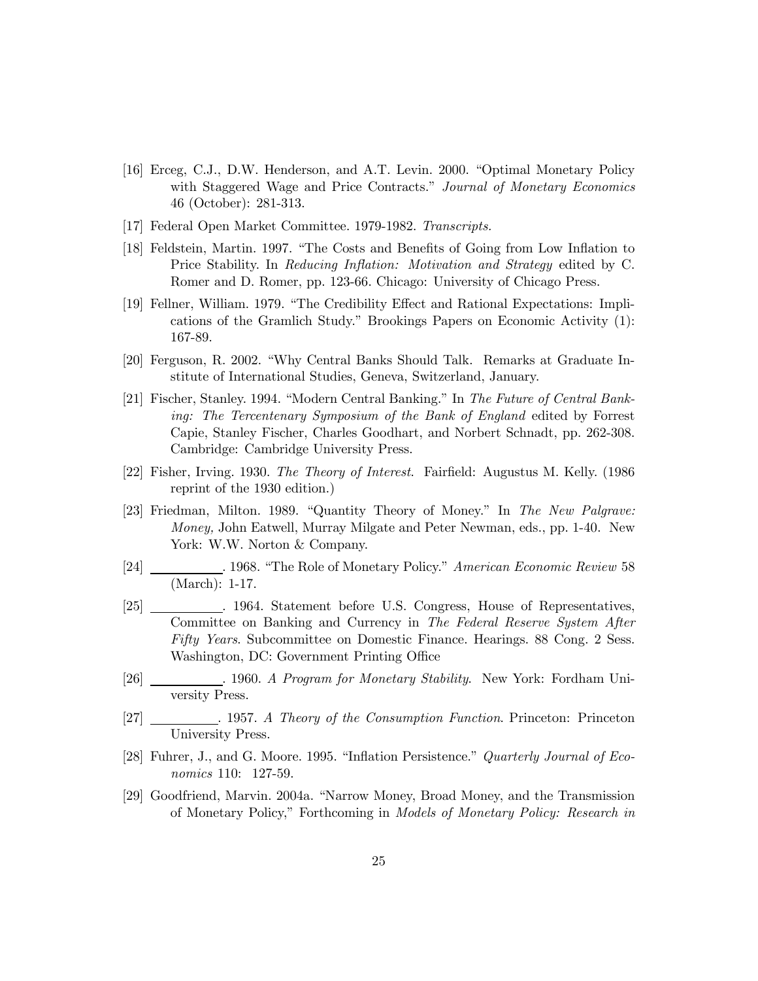- [16] Erceg, C.J., D.W. Henderson, and A.T. Levin. 2000. "Optimal Monetary Policy with Staggered Wage and Price Contracts." Journal of Monetary Economics 46 (October): 281-313.
- [17] Federal Open Market Committee. 1979-1982. Transcripts.
- [18] Feldstein, Martin. 1997. "The Costs and Benefits of Going from Low Inflation to Price Stability. In Reducing Inflation: Motivation and Strategy edited by C. Romer and D. Romer, pp. 123-66. Chicago: University of Chicago Press.
- [19] Fellner, William. 1979. "The Credibility Effect and Rational Expectations: Implications of the Gramlich Study." Brookings Papers on Economic Activity (1): 167-89.
- [20] Ferguson, R. 2002. "Why Central Banks Should Talk. Remarks at Graduate Institute of International Studies, Geneva, Switzerland, January.
- [21] Fischer, Stanley. 1994. "Modern Central Banking." In The Future of Central Banking: The Tercentenary Symposium of the Bank of England edited by Forrest Capie, Stanley Fischer, Charles Goodhart, and Norbert Schnadt, pp. 262-308. Cambridge: Cambridge University Press.
- [22] Fisher, Irving. 1930. The Theory of Interest. Fairfield: Augustus M. Kelly. (1986 reprint of the 1930 edition.)
- [23] Friedman, Milton. 1989. "Quantity Theory of Money." In The New Palgrave: Money, John Eatwell, Murray Milgate and Peter Newman, eds., pp. 1-40. New York: W.W. Norton & Company.
- [24] . 1968. "The Role of Monetary Policy." American Economic Review 58  $(March): 1-17.$
- [25] . 1964. Statement before U.S. Congress, House of Representatives, Committee on Banking and Currency in The Federal Reserve System After Fifty Years. Subcommittee on Domestic Finance. Hearings. 88 Cong. 2 Sess. Washington, DC: Government Printing Office
- [26] . 1960. A Program for Monetary Stability. New York: Fordham University Press.
- [27] . 1957. A Theory of the Consumption Function. Princeton: Princeton University Press.
- [28] Fuhrer, J., and G. Moore. 1995. "Inflation Persistence." Quarterly Journal of Economics 110: 127-59.
- [29] Goodfriend, Marvin. 2004a. "Narrow Money, Broad Money, and the Transmission of Monetary Policy," Forthcoming in Models of Monetary Policy: Research in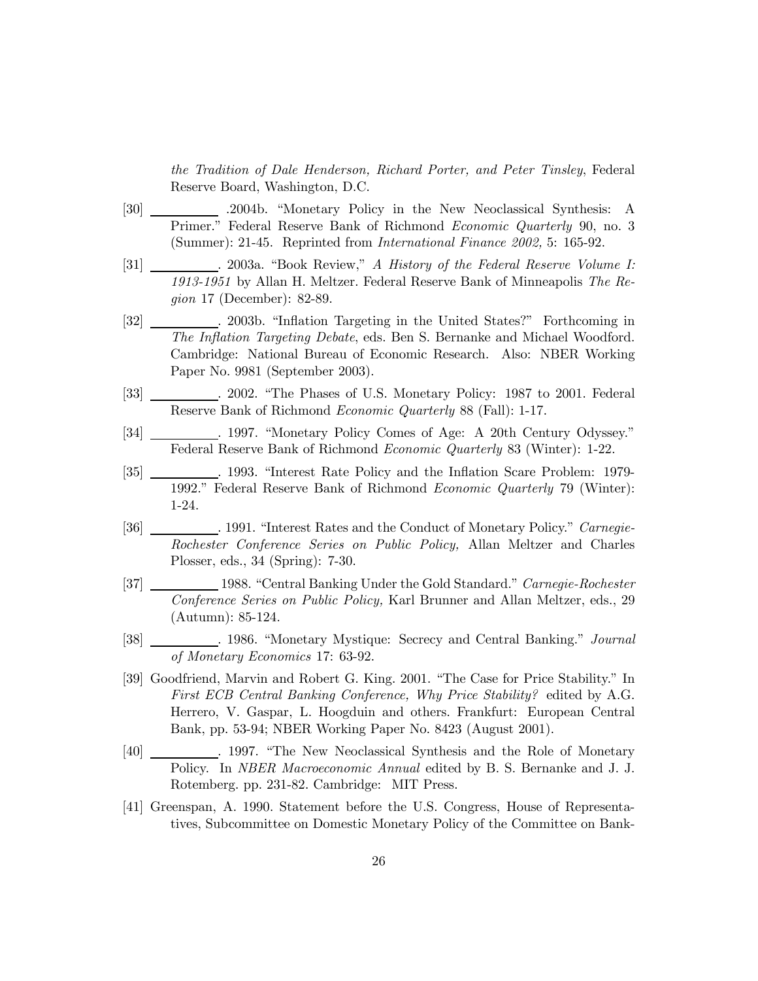the Tradition of Dale Henderson, Richard Porter, and Peter Tinsley, Federal Reserve Board, Washington, D.C.

- [30] .2004b. "Monetary Policy in the New Neoclassical Synthesis: A Primer." Federal Reserve Bank of Richmond Economic Quarterly 90, no. 3 (Summer): 21-45. Reprinted from International Finance 2002, 5: 165-92.
- [31] . 2003a. "Book Review," A History of the Federal Reserve Volume I: 1913-1951 by Allan H. Meltzer. Federal Reserve Bank of Minneapolis The Region 17 (December): 82-89.
- [32] . 2003b. "Inflation Targeting in the United States?" Forthcoming in The Inflation Targeting Debate, eds. Ben S. Bernanke and Michael Woodford. Cambridge: National Bureau of Economic Research. Also: NBER Working Paper No. 9981 (September 2003).
- [33] . 2002. "The Phases of U.S. Monetary Policy: 1987 to 2001. Federal Reserve Bank of Richmond Economic Quarterly 88 (Fall): 1-17.
- [34] . 1997. "Monetary Policy Comes of Age: A 20th Century Odyssey." Federal Reserve Bank of Richmond Economic Quarterly 83 (Winter): 1-22.
- [35] . 1993. "Interest Rate Policy and the Inflation Scare Problem: 1979- 1992." Federal Reserve Bank of Richmond Economic Quarterly 79 (Winter): 1-24.
- [36] . 1991. "Interest Rates and the Conduct of Monetary Policy." Carnegie-Rochester Conference Series on Public Policy, Allan Meltzer and Charles Plosser, eds., 34 (Spring): 7-30.
- [37] 1988. "Central Banking Under the Gold Standard." Carnegie-Rochester Conference Series on Public Policy, Karl Brunner and Allan Meltzer, eds., 29 (Autumn): 85-124.
- [38] . 1986. "Monetary Mystique: Secrecy and Central Banking." Journal of Monetary Economics 17: 63-92.
- [39] Goodfriend, Marvin and Robert G. King. 2001. "The Case for Price Stability." In First ECB Central Banking Conference, Why Price Stability? edited by A.G. Herrero, V. Gaspar, L. Hoogduin and others. Frankfurt: European Central Bank, pp. 53-94; NBER Working Paper No. 8423 (August 2001).
- [40] . 1997. "The New Neoclassical Synthesis and the Role of Monetary Policy. In NBER Macroeconomic Annual edited by B. S. Bernanke and J. J. Rotemberg. pp. 231-82. Cambridge: MIT Press.
- [41] Greenspan, A. 1990. Statement before the U.S. Congress, House of Representatives, Subcommittee on Domestic Monetary Policy of the Committee on Bank-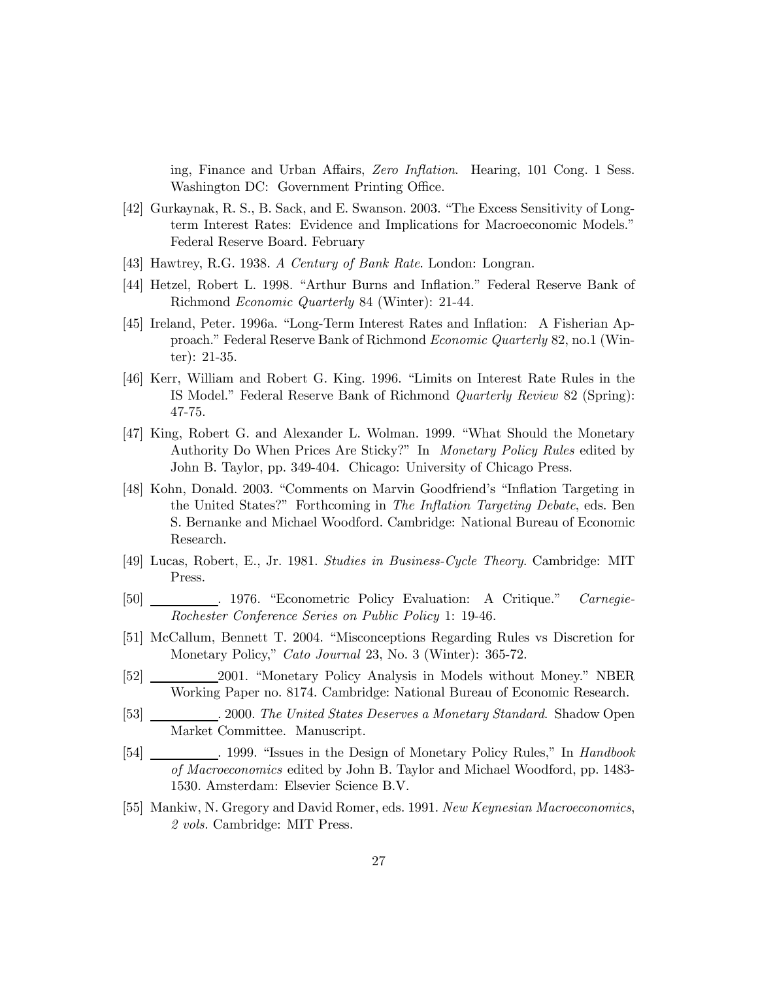ing, Finance and Urban Affairs, Zero Inflation. Hearing, 101 Cong. 1 Sess. Washington DC: Government Printing Office.

- [42] Gurkaynak, R. S., B. Sack, and E. Swanson. 2003. "The Excess Sensitivity of Longterm Interest Rates: Evidence and Implications for Macroeconomic Models." Federal Reserve Board. February
- [43] Hawtrey, R.G. 1938. A Century of Bank Rate. London: Longran.
- [44] Hetzel, Robert L. 1998. "Arthur Burns and Inflation." Federal Reserve Bank of Richmond Economic Quarterly 84 (Winter): 21-44.
- [45] Ireland, Peter. 1996a. "Long-Term Interest Rates and Inflation: A Fisherian Approach." Federal Reserve Bank of Richmond Economic Quarterly 82, no.1 (Winter): 21-35.
- [46] Kerr, William and Robert G. King. 1996. "Limits on Interest Rate Rules in the IS Model." Federal Reserve Bank of Richmond Quarterly Review 82 (Spring): 47-75.
- [47] King, Robert G. and Alexander L. Wolman. 1999. "What Should the Monetary Authority Do When Prices Are Sticky?" In Monetary Policy Rules edited by John B. Taylor, pp. 349-404. Chicago: University of Chicago Press.
- [48] Kohn, Donald. 2003. "Comments on Marvin Goodfriend's "Inflation Targeting in the United States?" Forthcoming in The Inflation Targeting Debate, eds. Ben S. Bernanke and Michael Woodford. Cambridge: National Bureau of Economic Research.
- [49] Lucas, Robert, E., Jr. 1981. Studies in Business-Cycle Theory. Cambridge: MIT Press.
- [50] . 1976. "Econometric Policy Evaluation: A Critique." Carnegie-Rochester Conference Series on Public Policy 1: 19-46.
- [51] McCallum, Bennett T. 2004. "Misconceptions Regarding Rules vs Discretion for Monetary Policy," Cato Journal 23, No. 3 (Winter): 365-72.
- [52] 2001. "Monetary Policy Analysis in Models without Money." NBER Working Paper no. 8174. Cambridge: National Bureau of Economic Research.
- [53] . 2000. The United States Deserves a Monetary Standard. Shadow Open Market Committee. Manuscript.
- [54] . 1999. "Issues in the Design of Monetary Policy Rules," In Handbook of Macroeconomics edited by John B. Taylor and Michael Woodford, pp. 1483- 1530. Amsterdam: Elsevier Science B.V.
- [55] Mankiw, N. Gregory and David Romer, eds. 1991. New Keynesian Macroeconomics, 2 vols. Cambridge: MIT Press.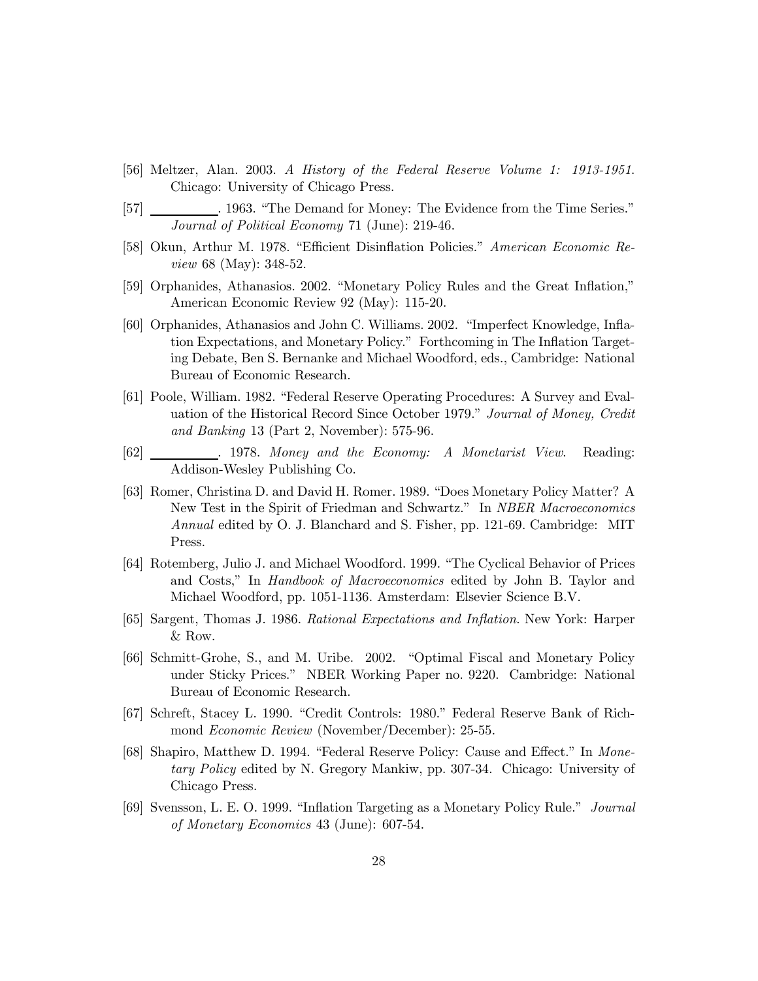- [56] Meltzer, Alan. 2003. A History of the Federal Reserve Volume 1: 1913-1951. Chicago: University of Chicago Press.
- [57] . 1963. "The Demand for Money: The Evidence from the Time Series." Journal of Political Economy 71 (June): 219-46.
- [58] Okun, Arthur M. 1978. "Efficient Disinflation Policies." American Economic Review 68 (May): 348-52.
- [59] Orphanides, Athanasios. 2002. "Monetary Policy Rules and the Great Inflation," American Economic Review 92 (May): 115-20.
- [60] Orphanides, Athanasios and John C. Williams. 2002. "Imperfect Knowledge, Inflation Expectations, and Monetary Policy." Forthcoming in The Inflation Targeting Debate, Ben S. Bernanke and Michael Woodford, eds., Cambridge: National Bureau of Economic Research.
- [61] Poole, William. 1982. "Federal Reserve Operating Procedures: A Survey and Evaluation of the Historical Record Since October 1979." Journal of Money, Credit and Banking 13 (Part 2, November): 575-96.
- [62]  $\qquad \qquad$  1978. Money and the Economy: A Monetarist View. Reading: Addison-Wesley Publishing Co.
- [63] Romer, Christina D. and David H. Romer. 1989. "Does Monetary Policy Matter? A New Test in the Spirit of Friedman and Schwartz." In NBER Macroeconomics Annual edited by O. J. Blanchard and S. Fisher, pp. 121-69. Cambridge: MIT Press.
- [64] Rotemberg, Julio J. and Michael Woodford. 1999. "The Cyclical Behavior of Prices and Costs," In Handbook of Macroeconomics edited by John B. Taylor and Michael Woodford, pp. 1051-1136. Amsterdam: Elsevier Science B.V.
- [65] Sargent, Thomas J. 1986. Rational Expectations and Inflation. New York: Harper & Row.
- [66] Schmitt-Grohe, S., and M. Uribe. 2002. "Optimal Fiscal and Monetary Policy under Sticky Prices." NBER Working Paper no. 9220. Cambridge: National Bureau of Economic Research.
- [67] Schreft, Stacey L. 1990. "Credit Controls: 1980." Federal Reserve Bank of Richmond Economic Review (November/December): 25-55.
- [68] Shapiro, Matthew D. 1994. "Federal Reserve Policy: Cause and Effect." In Monetary Policy edited by N. Gregory Mankiw, pp. 307-34. Chicago: University of Chicago Press.
- [69] Svensson, L. E. O. 1999. "Inflation Targeting as a Monetary Policy Rule." Journal of Monetary Economics 43 (June): 607-54.